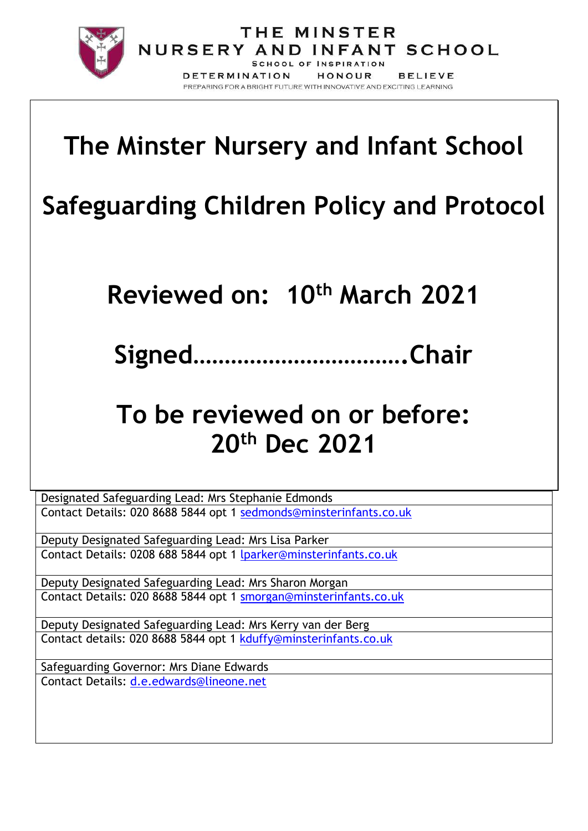

# **The Minster Nursery and Infant School**

DETERMINATION

THE MINSTER NURSERY AND INFANT SCHOOL **SCHOOL OF INSPIRATION** 

PREPARING FOR A BRIGHT FUTURE WITH INNOVATIVE AND EXCITING LEARNING

HONOUR

**BELIEVE** 

# **Safeguarding Children Policy and Protocol**

**Reviewed on: 10th March 2021**

**Signed…………………………….Chair**

## **To be reviewed on or before: 20th Dec 2021**

Designated Safeguarding Lead: Mrs Stephanie Edmonds Contact Details: 020 8688 5844 opt 1 [sedmonds@minsterinfants.co.uk](mailto:sedmonds@minsterinfants.co.uk)

Deputy Designated Safeguarding Lead: Mrs Lisa Parker Contact Details: 0208 688 5844 opt 1 [lparker@minsterinfants.co.uk](mailto:lparker@minsterinfants.co.uk)

Deputy Designated Safeguarding Lead: Mrs Sharon Morgan Contact Details: 020 8688 5844 opt 1 [smorgan@minsterinfants.co.uk](mailto:smorgan@minsterinfants.co.uk)

Deputy Designated Safeguarding Lead: Mrs Kerry van der Berg Contact details: 020 8688 5844 opt 1 [kduffy@minsterinfants.co.uk](mailto:kduffy@minsterinfants.co.uk)

Safeguarding Governor: Mrs Diane Edwards Contact Details: [d.e.edwards@lineone.net](mailto:d.e.edwards@lineone.net)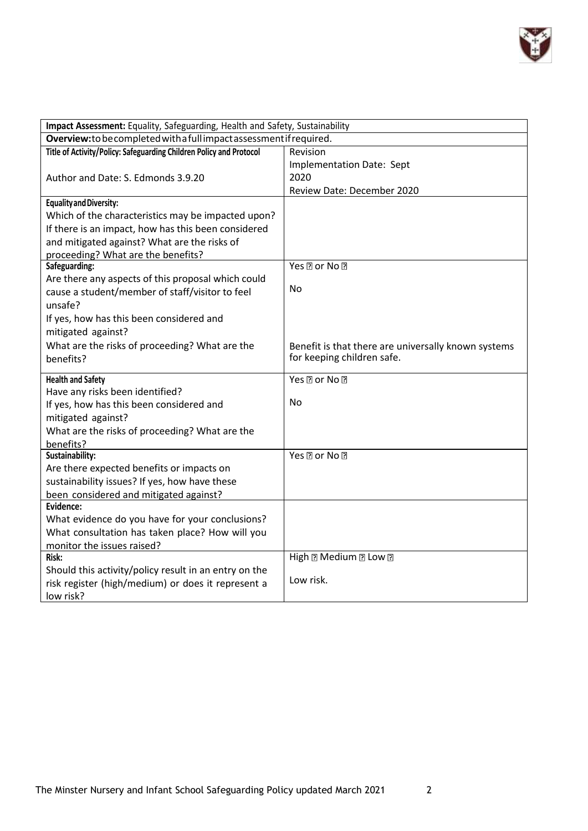

| Impact Assessment: Equality, Safeguarding, Health and Safety, Sustainability |                                                     |  |
|------------------------------------------------------------------------------|-----------------------------------------------------|--|
| Overview: to be completed with a full impact assessment if required.         |                                                     |  |
| Title of Activity/Policy: Safeguarding Children Policy and Protocol          | Revision                                            |  |
|                                                                              | Implementation Date: Sept                           |  |
| Author and Date: S. Edmonds 3.9.20                                           | 2020                                                |  |
|                                                                              | Review Date: December 2020                          |  |
| Equality and Diversity:                                                      |                                                     |  |
| Which of the characteristics may be impacted upon?                           |                                                     |  |
| If there is an impact, how has this been considered                          |                                                     |  |
| and mitigated against? What are the risks of                                 |                                                     |  |
| proceeding? What are the benefits?                                           |                                                     |  |
| Safeguarding:                                                                | Yes <b>Dor</b> No <b>D</b>                          |  |
| Are there any aspects of this proposal which could                           |                                                     |  |
| cause a student/member of staff/visitor to feel                              | No                                                  |  |
| unsafe?                                                                      |                                                     |  |
| If yes, how has this been considered and                                     |                                                     |  |
| mitigated against?                                                           |                                                     |  |
| What are the risks of proceeding? What are the                               | Benefit is that there are universally known systems |  |
| benefits?                                                                    | for keeping children safe.                          |  |
|                                                                              |                                                     |  |
| <b>Health and Safety</b>                                                     | Yes ? or No ?                                       |  |
| Have any risks been identified?                                              |                                                     |  |
| If yes, how has this been considered and                                     | No                                                  |  |
| mitigated against?                                                           |                                                     |  |
| What are the risks of proceeding? What are the                               |                                                     |  |
| benefits?                                                                    |                                                     |  |
| Sustainability:                                                              | Yes ? or No ?                                       |  |
| Are there expected benefits or impacts on                                    |                                                     |  |
| sustainability issues? If yes, how have these                                |                                                     |  |
| been considered and mitigated against?                                       |                                                     |  |
| Evidence:                                                                    |                                                     |  |
| What evidence do you have for your conclusions?                              |                                                     |  |
| What consultation has taken place? How will you                              |                                                     |  |
| monitor the issues raised?                                                   |                                                     |  |
| Risk:                                                                        | High 2 Medium 2 Low 2                               |  |
| Should this activity/policy result in an entry on the                        |                                                     |  |
| risk register (high/medium) or does it represent a                           | Low risk.                                           |  |
| low risk?                                                                    |                                                     |  |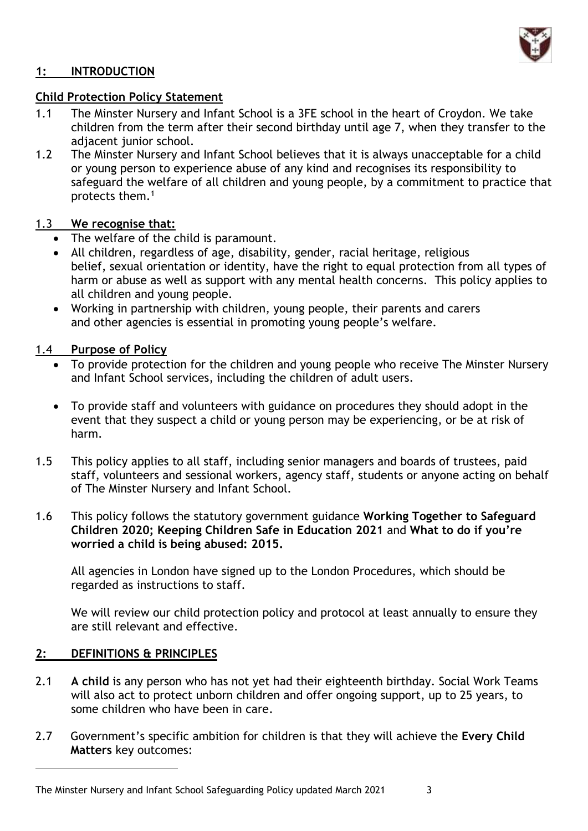

## **1: INTRODUCTION**

#### **Child Protection Policy Statement**

- 1.1 The Minster Nursery and Infant School is a 3FE school in the heart of Croydon. We take children from the term after their second birthday until age 7, when they transfer to the adjacent junior school.
- 1.2 The Minster Nursery and Infant School believes that it is always unacceptable for a child or young person to experience abuse of any kind and recognises its responsibility to safeguard the welfare of all children and young people, by a commitment to practice that protects them.<sup>1</sup>

### 1.3 **We recognise that:**

- The welfare of the child is paramount.
- All children, regardless of age, disability, gender, racial heritage, religious belief, sexual orientation or identity, have the right to equal protection from all types of harm or abuse as well as support with any mental health concerns. This policy applies to all children and young people.
- Working in partnership with children, young people, their parents and carers and other agencies is essential in promoting young people's welfare.

## 1.4 **Purpose of Policy**

- To provide protection for the children and young people who receive The Minster Nursery and Infant School services, including the children of adult users.
- To provide staff and volunteers with guidance on procedures they should adopt in the event that they suspect a child or young person may be experiencing, or be at risk of harm.
- 1.5 This policy applies to all staff, including senior managers and boards of trustees, paid staff, volunteers and sessional workers, agency staff, students or anyone acting on behalf of The Minster Nursery and Infant School.
- 1.6 This policy follows the statutory government guidance **Working Together to Safeguard Children 2020; Keeping Children Safe in Education 2021** and **What to do if you're worried a child is being abused: 2015.**

All agencies in London have signed up to the London Procedures, which should be regarded as instructions to staff.

We will review our child protection policy and protocol at least annually to ensure they are still relevant and effective.

## **2: DEFINITIONS & PRINCIPLES**

- 2.1 **A child** is any person who has not yet had their eighteenth birthday. Social Work Teams will also act to protect unborn children and offer ongoing support, up to 25 years, to some children who have been in care.
- 2.7 Government's specific ambition for children is that they will achieve the **Every Child Matters** key outcomes:

The Minster Nursery and Infant School Safeguarding Policy updated March 2021 3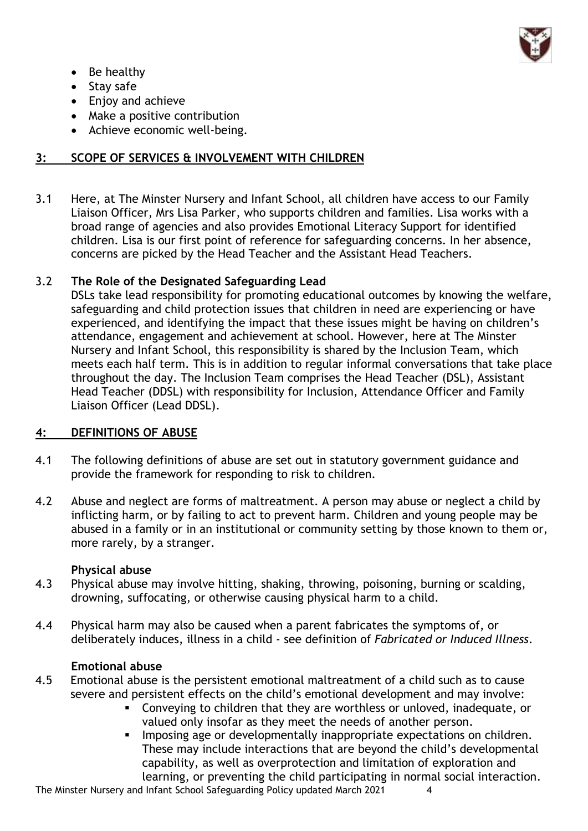

- Be healthy
- Stay safe
- Enjoy and achieve
- Make a positive contribution
- Achieve economic well-being.

## **3: SCOPE OF SERVICES & INVOLVEMENT WITH CHILDREN**

3.1 Here, at The Minster Nursery and Infant School, all children have access to our Family Liaison Officer, Mrs Lisa Parker, who supports children and families. Lisa works with a broad range of agencies and also provides Emotional Literacy Support for identified children. Lisa is our first point of reference for safeguarding concerns. In her absence, concerns are picked by the Head Teacher and the Assistant Head Teachers.

## 3.2 **The Role of the Designated Safeguarding Lead**

DSLs take lead responsibility for promoting educational outcomes by knowing the welfare, safeguarding and child protection issues that children in need are experiencing or have experienced, and identifying the impact that these issues might be having on children's attendance, engagement and achievement at school. However, here at The Minster Nursery and Infant School, this responsibility is shared by the Inclusion Team, which meets each half term. This is in addition to regular informal conversations that take place throughout the day. The Inclusion Team comprises the Head Teacher (DSL), Assistant Head Teacher (DDSL) with responsibility for Inclusion, Attendance Officer and Family Liaison Officer (Lead DDSL).

## **4: DEFINITIONS OF ABUSE**

- 4.1 The following definitions of abuse are set out in statutory government guidance and provide the framework for responding to risk to children.
- 4.2 Abuse and neglect are forms of maltreatment. A person may abuse or neglect a child by inflicting harm, or by failing to act to prevent harm. Children and young people may be abused in a family or in an institutional or community setting by those known to them or, more rarely, by a stranger.

#### **Physical abuse**

- 4.3 Physical abuse may involve hitting, shaking, throwing, poisoning, burning or scalding, drowning, suffocating, or otherwise causing physical harm to a child.
- 4.4 Physical harm may also be caused when a parent fabricates the symptoms of, or deliberately induces, illness in a child - see definition of *Fabricated or Induced Illness*.

#### **Emotional abuse**

- 4.5 Emotional abuse is the persistent emotional maltreatment of a child such as to cause severe and persistent effects on the child's emotional development and may involve:
	- Conveying to children that they are worthless or unloved, inadequate, or valued only insofar as they meet the needs of another person.
	- Imposing age or developmentally inappropriate expectations on children. These may include interactions that are beyond the child's developmental capability, as well as overprotection and limitation of exploration and learning, or preventing the child participating in normal social interaction.

The Minster Nursery and Infant School Safeguarding Policy updated March 2021 4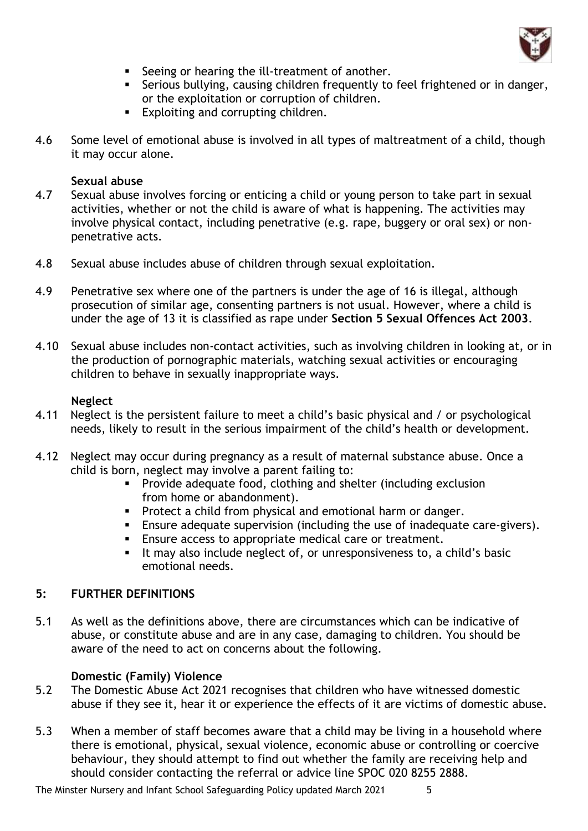

- Seeing or hearing the ill-treatment of another.
- **EXEDENT** Serious bullying, causing children frequently to feel frightened or in danger, or the exploitation or corruption of children.
- Exploiting and corrupting children.
- 4.6 Some level of emotional abuse is involved in all types of maltreatment of a child, though it may occur alone.

#### **Sexual abuse**

- 4.7 Sexual abuse involves forcing or enticing a child or young person to take part in sexual activities, whether or not the child is aware of what is happening. The activities may involve physical contact, including penetrative (e.g. rape, buggery or oral sex) or nonpenetrative acts.
- 4.8 Sexual abuse includes abuse of children through sexual exploitation.
- 4.9 Penetrative sex where one of the partners is under the age of 16 is illegal, although prosecution of similar age, consenting partners is not usual. However, where a child is under the age of 13 it is classified as rape under **Section 5 Sexual Offences Act 2003**.
- 4.10 Sexual abuse includes non-contact activities, such as involving children in looking at, or in the production of pornographic materials, watching sexual activities or encouraging children to behave in sexually inappropriate ways.

#### **Neglect**

- 4.11 Neglect is the persistent failure to meet a child's basic physical and / or psychological needs, likely to result in the serious impairment of the child's health or development.
- 4.12 Neglect may occur during pregnancy as a result of maternal substance abuse. Once a child is born, neglect may involve a parent failing to:
	- **•** Provide adequate food, clothing and shelter (including exclusion from home or abandonment).
	- Protect a child from physical and emotional harm or danger.
	- **Ensure adequate supervision (including the use of inadequate care-givers).**
	- Ensure access to appropriate medical care or treatment.
	- It may also include neglect of, or unresponsiveness to, a child's basic emotional needs.

#### **5: FURTHER DEFINITIONS**

5.1 As well as the definitions above, there are circumstances which can be indicative of abuse, or constitute abuse and are in any case, damaging to children. You should be aware of the need to act on concerns about the following.

#### **Domestic (Family) Violence**

- 5.2 The Domestic Abuse Act 2021 recognises that children who have witnessed domestic abuse if they see it, hear it or experience the effects of it are victims of domestic abuse.
- 5.3 When a member of staff becomes aware that a child may be living in a household where there is emotional, physical, sexual violence, economic abuse or controlling or coercive behaviour, they should attempt to find out whether the family are receiving help and should consider contacting the referral or advice line SPOC 020 8255 2888.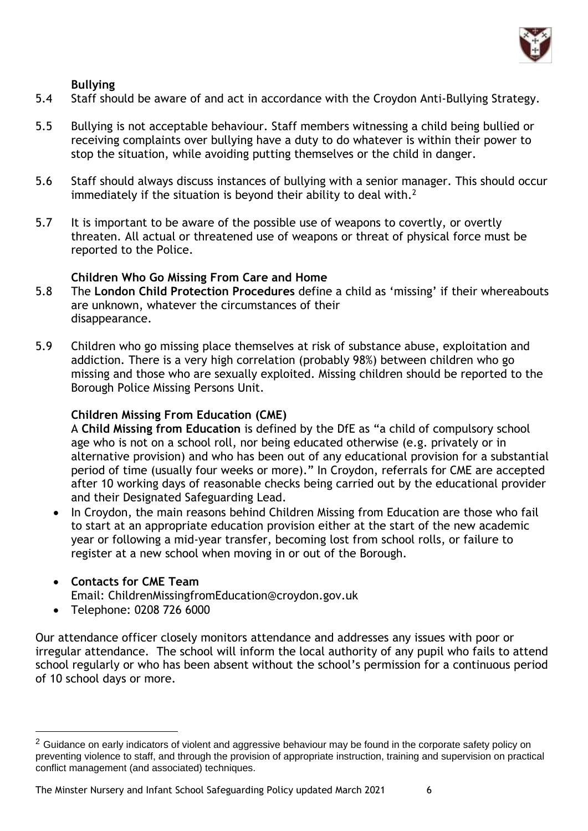

### **Bullying**

- 5.4 Staff should be aware of and act in accordance with the Croydon Anti-Bullying Strategy.
- 5.5 Bullying is not acceptable behaviour. Staff members witnessing a child being bullied or receiving complaints over bullying have a duty to do whatever is within their power to stop the situation, while avoiding putting themselves or the child in danger.
- 5.6 Staff should always discuss instances of bullying with a senior manager. This should occur immediately if the situation is beyond their ability to deal with.<sup>2</sup>
- 5.7 It is important to be aware of the possible use of weapons to covertly, or overtly threaten. All actual or threatened use of weapons or threat of physical force must be reported to the Police.

### **Children Who Go Missing From Care and Home**

- 5.8 The **London Child Protection Procedures** define a child as 'missing' if their whereabouts are unknown, whatever the circumstances of their disappearance.
- 5.9 Children who go missing place themselves at risk of substance abuse, exploitation and addiction. There is a very high correlation (probably 98%) between children who go missing and those who are sexually exploited. Missing children should be reported to the Borough Police Missing Persons Unit.

#### **Children Missing From Education (CME)**

A **Child Missing from Education** is defined by the DfE as "a child of compulsory school age who is not on a school roll, nor being educated otherwise (e.g. privately or in alternative provision) and who has been out of any educational provision for a substantial period of time (usually four weeks or more)." In Croydon, referrals for CME are accepted after 10 working days of reasonable checks being carried out by the educational provider and their Designated Safeguarding Lead.

• In Croydon, the main reasons behind Children Missing from Education are those who fail to start at an appropriate education provision either at the start of the new academic year or following a mid-year transfer, becoming lost from school rolls, or failure to register at a new school when moving in or out of the Borough.

## • **Contacts for CME Team**

Email: ChildrenMissingfromEducation@croydon.gov.uk

• Telephone: 0208 726 6000

Our attendance officer closely monitors attendance and addresses any issues with poor or irregular attendance. The school will inform the local authority of any pupil who fails to attend school regularly or who has been absent without the school's permission for a continuous period of 10 school days or more.

<sup>&</sup>lt;sup>2</sup> Guidance on early indicators of violent and aggressive behaviour may be found in the corporate safety policy on preventing violence to staff, and through the provision of appropriate instruction, training and supervision on practical conflict management (and associated) techniques.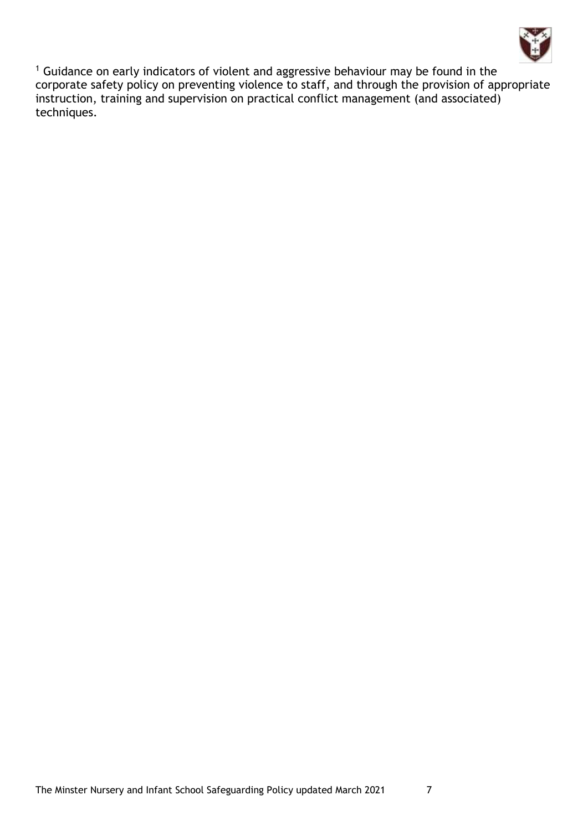

<sup>1</sup> Guidance on early indicators of violent and aggressive behaviour may be found in the corporate safety policy on preventing violence to staff, and through the provision of appropriate instruction, training and supervision on practical conflict management (and associated) techniques.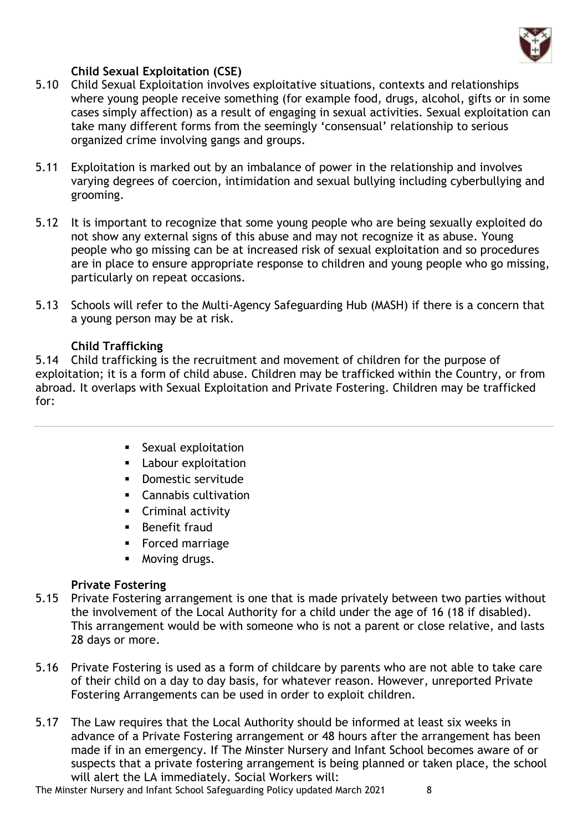

## **Child Sexual Exploitation (CSE)**

- 5.10 Child Sexual Exploitation involves exploitative situations, contexts and relationships where young people receive something (for example food, drugs, alcohol, gifts or in some cases simply affection) as a result of engaging in sexual activities. Sexual exploitation can take many different forms from the seemingly 'consensual' relationship to serious organized crime involving gangs and groups.
- 5.11 Exploitation is marked out by an imbalance of power in the relationship and involves varying degrees of coercion, intimidation and sexual bullying including cyberbullying and grooming.
- 5.12 It is important to recognize that some young people who are being sexually exploited do not show any external signs of this abuse and may not recognize it as abuse. Young people who go missing can be at increased risk of sexual exploitation and so procedures are in place to ensure appropriate response to children and young people who go missing, particularly on repeat occasions.
- 5.13 Schools will refer to the Multi-Agency Safeguarding Hub (MASH) if there is a concern that a young person may be at risk.

### **Child Trafficking**

5.14 Child trafficking is the recruitment and movement of children for the purpose of exploitation; it is a form of child abuse. Children may be trafficked within the Country, or from abroad. It overlaps with Sexual Exploitation and Private Fostering. Children may be trafficked for:

- **EXALLE Sexual exploitation**
- Labour exploitation
- Domestic servitude
- Cannabis cultivation
- Criminal activity
- **■** Benefit fraud
- Forced marriage
- Moving drugs.

## **Private Fostering**

- 5.15 Private Fostering arrangement is one that is made privately between two parties without the involvement of the Local Authority for a child under the age of 16 (18 if disabled). This arrangement would be with someone who is not a parent or close relative, and lasts 28 days or more.
- 5.16 Private Fostering is used as a form of childcare by parents who are not able to take care of their child on a day to day basis, for whatever reason. However, unreported Private Fostering Arrangements can be used in order to exploit children.
- 5.17 The Law requires that the Local Authority should be informed at least six weeks in advance of a Private Fostering arrangement or 48 hours after the arrangement has been made if in an emergency. If The Minster Nursery and Infant School becomes aware of or suspects that a private fostering arrangement is being planned or taken place, the school will alert the LA immediately. Social Workers will:

The Minster Nursery and Infant School Safeguarding Policy updated March 2021 8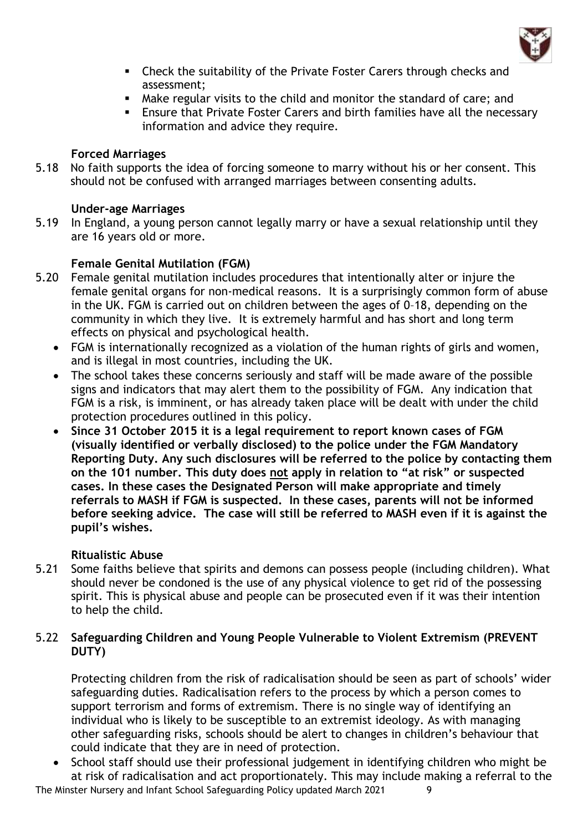

- Check the suitability of the Private Foster Carers through checks and assessment;
- Make regular visits to the child and monitor the standard of care; and
- **Ensure that Private Foster Carers and birth families have all the necessary** information and advice they require.

## **Forced Marriages**

5.18 No faith supports the idea of forcing someone to marry without his or her consent. This should not be confused with arranged marriages between consenting adults.

### **Under-age Marriages**

5.19 In England, a young person cannot legally marry or have a sexual relationship until they are 16 years old or more.

### **Female Genital Mutilation (FGM)**

- 5.20 Female genital mutilation includes procedures that intentionally alter or injure the female genital organs for non-medical reasons. It is a surprisingly common form of abuse in the UK. FGM is carried out on children between the ages of 0–18, depending on the community in which they live. It is extremely harmful and has short and long term effects on physical and psychological health.
	- FGM is internationally recognized as a violation of the human rights of girls and women, and is illegal in most countries, including the UK.
	- The school takes these concerns seriously and staff will be made aware of the possible signs and indicators that may alert them to the possibility of FGM. Any indication that FGM is a risk, is imminent, or has already taken place will be dealt with under the child protection procedures outlined in this policy.
	- **Since 31 October 2015 it is a legal requirement to report known cases of FGM (visually identified or verbally disclosed) to the police under the FGM Mandatory Reporting Duty. Any such disclosures will be referred to the police by contacting them on the 101 number. This duty does not apply in relation to "at risk" or suspected cases. In these cases the Designated Person will make appropriate and timely referrals to MASH if FGM is suspected. In these cases, parents will not be informed before seeking advice. The case will still be referred to MASH even if it is against the pupil's wishes.**

#### **Ritualistic Abuse**

5.21 Some faiths believe that spirits and demons can possess people (including children). What should never be condoned is the use of any physical violence to get rid of the possessing spirit. This is physical abuse and people can be prosecuted even if it was their intention to help the child.

### 5.22 **Safeguarding Children and Young People Vulnerable to Violent Extremism (PREVENT DUTY)**

Protecting children from the risk of radicalisation should be seen as part of schools' wider safeguarding duties. Radicalisation refers to the process by which a person comes to support terrorism and forms of extremism. There is no single way of identifying an individual who is likely to be susceptible to an extremist ideology. As with managing other safeguarding risks, schools should be alert to changes in children's behaviour that could indicate that they are in need of protection.

• School staff should use their professional judgement in identifying children who might be at risk of radicalisation and act proportionately. This may include making a referral to the

The Minster Nursery and Infant School Safeguarding Policy updated March 2021 9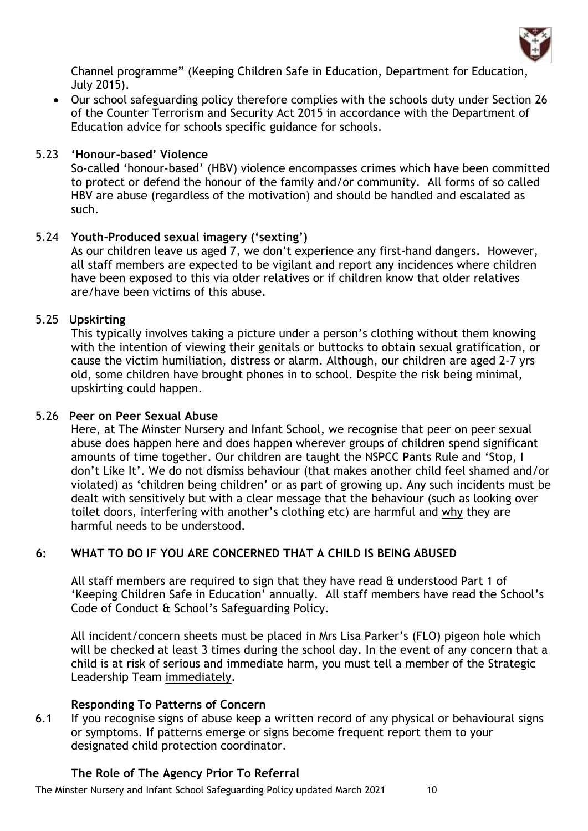

Channel programme" (Keeping Children Safe in Education, Department for Education, July 2015).

• Our school safeguarding policy therefore complies with the schools duty under Section 26 of the Counter Terrorism and Security Act 2015 in accordance with the Department of Education advice for schools specific guidance for schools.

## 5.23 **'Honour-based' Violence**

So-called 'honour-based' (HBV) violence encompasses crimes which have been committed to protect or defend the honour of the family and/or community. All forms of so called HBV are abuse (regardless of the motivation) and should be handled and escalated as such.

### 5.24 **Youth-Produced sexual imagery ('sexting')**

As our children leave us aged 7, we don't experience any first-hand dangers. However, all staff members are expected to be vigilant and report any incidences where children have been exposed to this via older relatives or if children know that older relatives are/have been victims of this abuse.

#### 5.25 **Upskirting**

This typically involves taking a picture under a person's clothing without them knowing with the intention of viewing their genitals or buttocks to obtain sexual gratification, or cause the victim humiliation, distress or alarm. Although, our children are aged 2-7 yrs old, some children have brought phones in to school. Despite the risk being minimal, upskirting could happen.

#### 5.26 **Peer on Peer Sexual Abuse**

Here, at The Minster Nursery and Infant School, we recognise that peer on peer sexual abuse does happen here and does happen wherever groups of children spend significant amounts of time together. Our children are taught the NSPCC Pants Rule and 'Stop, I don't Like It'. We do not dismiss behaviour (that makes another child feel shamed and/or violated) as 'children being children' or as part of growing up. Any such incidents must be dealt with sensitively but with a clear message that the behaviour (such as looking over toilet doors, interfering with another's clothing etc) are harmful and why they are harmful needs to be understood.

## **6: WHAT TO DO IF YOU ARE CONCERNED THAT A CHILD IS BEING ABUSED**

All staff members are required to sign that they have read & understood Part 1 of 'Keeping Children Safe in Education' annually. All staff members have read the School's Code of Conduct & School's Safeguarding Policy.

All incident/concern sheets must be placed in Mrs Lisa Parker's (FLO) pigeon hole which will be checked at least 3 times during the school day. In the event of any concern that a child is at risk of serious and immediate harm, you must tell a member of the Strategic Leadership Team immediately.

#### **Responding To Patterns of Concern**

6.1 If you recognise signs of abuse keep a written record of any physical or behavioural signs or symptoms. If patterns emerge or signs become frequent report them to your designated child protection coordinator.

## **The Role of The Agency Prior To Referral**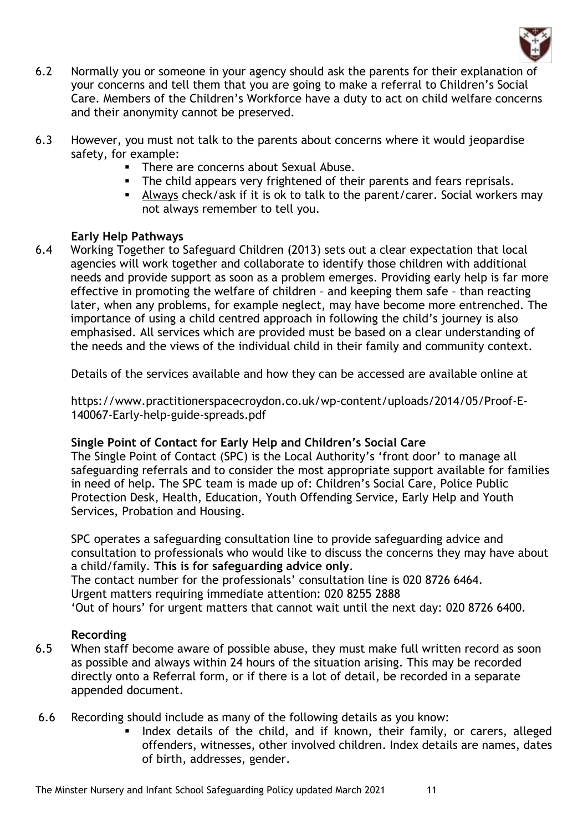

- 6.2 Normally you or someone in your agency should ask the parents for their explanation of your concerns and tell them that you are going to make a referral to Children's Social Care. Members of the Children's Workforce have a duty to act on child welfare concerns and their anonymity cannot be preserved.
- 6.3 However, you must not talk to the parents about concerns where it would jeopardise safety, for example:
	- **•** There are concerns about Sexual Abuse.
	- The child appears very frightened of their parents and fears reprisals.
	- Always check/ask if it is ok to talk to the parent/carer. Social workers may not always remember to tell you.

### **Early Help Pathways**

6.4 Working Together to Safeguard Children (2013) sets out a clear expectation that local agencies will work together and collaborate to identify those children with additional needs and provide support as soon as a problem emerges. Providing early help is far more effective in promoting the welfare of children – and keeping them safe – than reacting later, when any problems, for example neglect, may have become more entrenched. The importance of using a child centred approach in following the child's journey is also emphasised. All services which are provided must be based on a clear understanding of the needs and the views of the individual child in their family and community context.

Details of the services available and how they can be accessed are available online at

https://www.practitionerspacecroydon.co.uk/wp-content/uploads/2014/05/Proof-E-140067-Early-help-guide-spreads.pdf

#### **Single Point of Contact for Early Help and Children's Social Care**

The Single Point of Contact (SPC) is the Local Authority's 'front door' to manage all safeguarding referrals and to consider the most appropriate support available for families in need of help. The SPC team is made up of: Children's Social Care, Police Public Protection Desk, Health, Education, Youth Offending Service, Early Help and Youth Services, Probation and Housing.

SPC operates a safeguarding consultation line to provide safeguarding advice and consultation to professionals who would like to discuss the concerns they may have about a child/family. **This is for safeguarding advice only**.

The contact number for the professionals' consultation line is 020 8726 6464. Urgent matters requiring immediate attention: 020 8255 2888 'Out of hours' for urgent matters that cannot wait until the next day: 020 8726 6400.

## **Recording**

- 6.5 When staff become aware of possible abuse, they must make full written record as soon as possible and always within 24 hours of the situation arising. This may be recorded directly onto a Referral form, or if there is a lot of detail, be recorded in a separate appended document.
- 6.6 Recording should include as many of the following details as you know:
	- **.** Index details of the child, and if known, their family, or carers, alleged offenders, witnesses, other involved children. Index details are names, dates of birth, addresses, gender.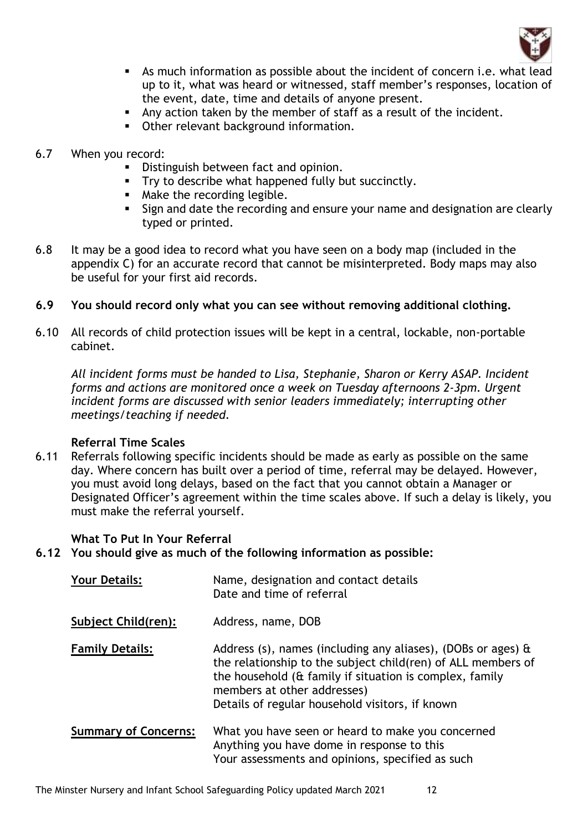

- As much information as possible about the incident of concern i.e. what lead up to it, what was heard or witnessed, staff member's responses, location of the event, date, time and details of anyone present.
- Any action taken by the member of staff as a result of the incident.
- **Other relevant background information.**
- 6.7 When you record:
	- Distinguish between fact and opinion.
	- **•** Try to describe what happened fully but succinctly.
	- Make the recording legible.
	- **EXTER 15 Is and date the recording and ensure your name and designation are clearly** typed or printed.
- 6.8 It may be a good idea to record what you have seen on a body map (included in the appendix C) for an accurate record that cannot be misinterpreted. Body maps may also be useful for your first aid records.

### **6.9 You should record only what you can see without removing additional clothing.**

6.10 All records of child protection issues will be kept in a central, lockable, non-portable cabinet.

*All incident forms must be handed to Lisa, Stephanie, Sharon or Kerry ASAP. Incident forms and actions are monitored once a week on Tuesday afternoons 2-3pm. Urgent incident forms are discussed with senior leaders immediately; interrupting other meetings/teaching if needed.*

#### **Referral Time Scales**

6.11 Referrals following specific incidents should be made as early as possible on the same day. Where concern has built over a period of time, referral may be delayed. However, you must avoid long delays, based on the fact that you cannot obtain a Manager or Designated Officer's agreement within the time scales above. If such a delay is likely, you must make the referral yourself.

## **What To Put In Your Referral**

**6.12 You should give as much of the following information as possible:**

| <b>Your Details:</b>        | Name, designation and contact details<br>Date and time of referral                                                                                                                                                                                                                |
|-----------------------------|-----------------------------------------------------------------------------------------------------------------------------------------------------------------------------------------------------------------------------------------------------------------------------------|
| Subject Child(ren):         | Address, name, DOB                                                                                                                                                                                                                                                                |
| <b>Family Details:</b>      | Address (s), names (including any aliases), (DOBs or ages) $\hat{a}$<br>the relationship to the subject child(ren) of ALL members of<br>the household (& family if situation is complex, family<br>members at other addresses)<br>Details of regular household visitors, if known |
| <b>Summary of Concerns:</b> | What you have seen or heard to make you concerned<br>Anything you have dome in response to this<br>Your assessments and opinions, specified as such                                                                                                                               |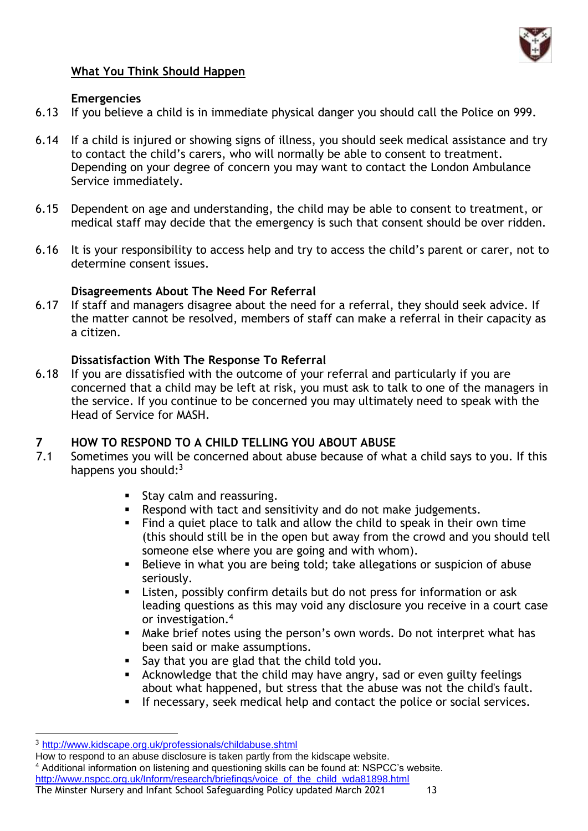

## **What You Think Should Happen**

### **Emergencies**

- 6.13 If you believe a child is in immediate physical danger you should call the Police on 999.
- 6.14 If a child is injured or showing signs of illness, you should seek medical assistance and try to contact the child's carers, who will normally be able to consent to treatment. Depending on your degree of concern you may want to contact the London Ambulance Service immediately.
- 6.15 Dependent on age and understanding, the child may be able to consent to treatment, or medical staff may decide that the emergency is such that consent should be over ridden.
- 6.16 It is your responsibility to access help and try to access the child's parent or carer, not to determine consent issues.

## **Disagreements About The Need For Referral**

6.17 If staff and managers disagree about the need for a referral, they should seek advice. If the matter cannot be resolved, members of staff can make a referral in their capacity as a citizen.

## **Dissatisfaction With The Response To Referral**

6.18 If you are dissatisfied with the outcome of your referral and particularly if you are concerned that a child may be left at risk, you must ask to talk to one of the managers in the service. If you continue to be concerned you may ultimately need to speak with the Head of Service for MASH.

## **7 HOW TO RESPOND TO A CHILD TELLING YOU ABOUT ABUSE**

- 7.1 Sometimes you will be concerned about abuse because of what a child says to you. If this happens you should: $3$ 
	- Stay calm and reassuring.
	- Respond with tact and sensitivity and do not make judgements.
	- Find a quiet place to talk and allow the child to speak in their own time (this should still be in the open but away from the crowd and you should tell someone else where you are going and with whom).
	- Believe in what you are being told; take allegations or suspicion of abuse seriously.
	- Listen, possibly confirm details but do not press for information or ask leading questions as this may void any disclosure you receive in a court case or investigation.<sup>4</sup>
	- Make brief notes using the person's own words. Do not interpret what has been said or make assumptions.
	- Say that you are glad that the child told you.
	- **EXED** Acknowledge that the child may have angry, sad or even guilty feelings about what happened, but stress that the abuse was not the child's fault.
	- If necessary, seek medical help and contact the police or social services.

How to respond to an abuse disclosure is taken partly from the kidscape website.

The Minster Nursery and Infant School Safeguarding Policy updated March 2021 13 <sup>4</sup> Additional information on listening and questioning skills can be found at: NSPCC's website. [http://www.nspcc.org.uk/Inform/research/briefings/voice\\_of\\_the\\_child\\_wda81898.html](http://www.nspcc.org.uk/Inform/research/briefings/voice_of_the_child_wda81898.html)

<sup>3</sup> <http://www.kidscape.org.uk/professionals/childabuse.shtml>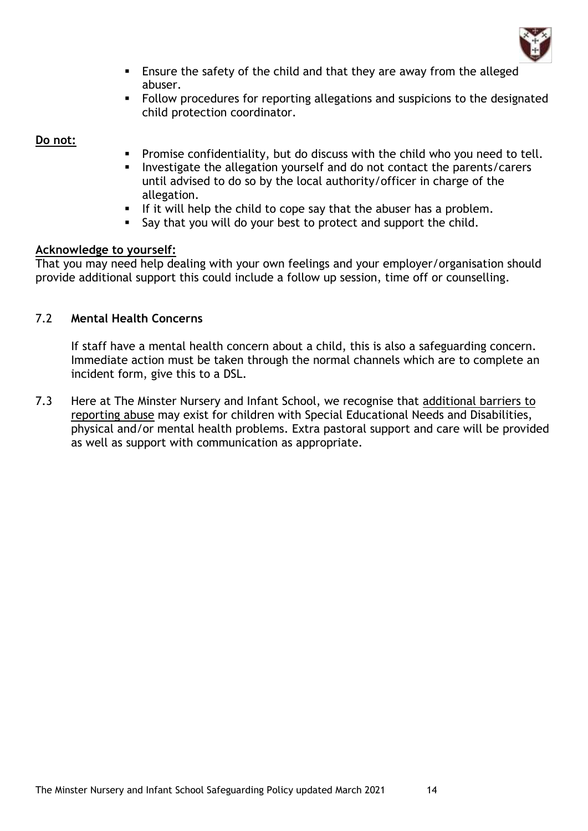

- Ensure the safety of the child and that they are away from the alleged abuser.
- Follow procedures for reporting allegations and suspicions to the designated child protection coordinator.

#### **Do not:**

- Promise confidentiality, but do discuss with the child who you need to tell.
- Investigate the allegation yourself and do not contact the parents/carers until advised to do so by the local authority/officer in charge of the allegation.
- **E** If it will help the child to cope say that the abuser has a problem.
- Say that you will do your best to protect and support the child.

#### **Acknowledge to yourself:**

That you may need help dealing with your own feelings and your employer/organisation should provide additional support this could include a follow up session, time off or counselling.

## 7.2 **Mental Health Concerns**

If staff have a mental health concern about a child, this is also a safeguarding concern. Immediate action must be taken through the normal channels which are to complete an incident form, give this to a DSL.

7.3 Here at The Minster Nursery and Infant School, we recognise that additional barriers to reporting abuse may exist for children with Special Educational Needs and Disabilities, physical and/or mental health problems. Extra pastoral support and care will be provided as well as support with communication as appropriate.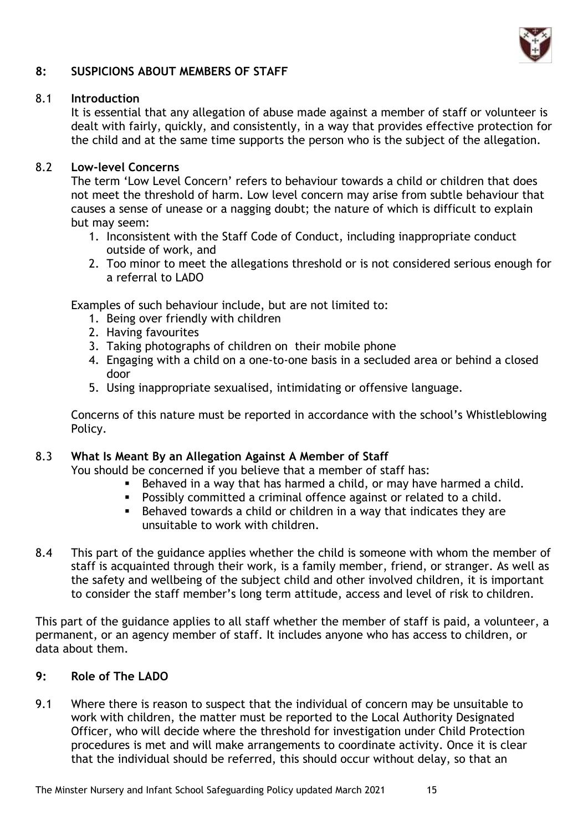

## **8: SUSPICIONS ABOUT MEMBERS OF STAFF**

#### 8.1 **Introduction**

It is essential that any allegation of abuse made against a member of staff or volunteer is dealt with fairly, quickly, and consistently, in a way that provides effective protection for the child and at the same time supports the person who is the subject of the allegation.

### 8.2 **Low-level Concerns**

The term 'Low Level Concern' refers to behaviour towards a child or children that does not meet the threshold of harm. Low level concern may arise from subtle behaviour that causes a sense of unease or a nagging doubt; the nature of which is difficult to explain but may seem:

- 1. Inconsistent with the Staff Code of Conduct, including inappropriate conduct outside of work, and
- 2. Too minor to meet the allegations threshold or is not considered serious enough for a referral to LADO

Examples of such behaviour include, but are not limited to:

- 1. Being over friendly with children
- 2. Having favourites
- 3. Taking photographs of children on their mobile phone
- 4. Engaging with a child on a one-to-one basis in a secluded area or behind a closed door
- 5. Using inappropriate sexualised, intimidating or offensive language.

Concerns of this nature must be reported in accordance with the school's Whistleblowing Policy.

#### 8.3 **What Is Meant By an Allegation Against A Member of Staff**

You should be concerned if you believe that a member of staff has:

- Behaved in a way that has harmed a child, or may have harmed a child.
- Possibly committed a criminal offence against or related to a child.
- Behaved towards a child or children in a way that indicates they are unsuitable to work with children.
- 8.4 This part of the guidance applies whether the child is someone with whom the member of staff is acquainted through their work, is a family member, friend, or stranger. As well as the safety and wellbeing of the subject child and other involved children, it is important to consider the staff member's long term attitude, access and level of risk to children.

This part of the guidance applies to all staff whether the member of staff is paid, a volunteer, a permanent, or an agency member of staff. It includes anyone who has access to children, or data about them.

#### **9: Role of The LADO**

9.1 Where there is reason to suspect that the individual of concern may be unsuitable to work with children, the matter must be reported to the Local Authority Designated Officer, who will decide where the threshold for investigation under Child Protection procedures is met and will make arrangements to coordinate activity. Once it is clear that the individual should be referred, this should occur without delay, so that an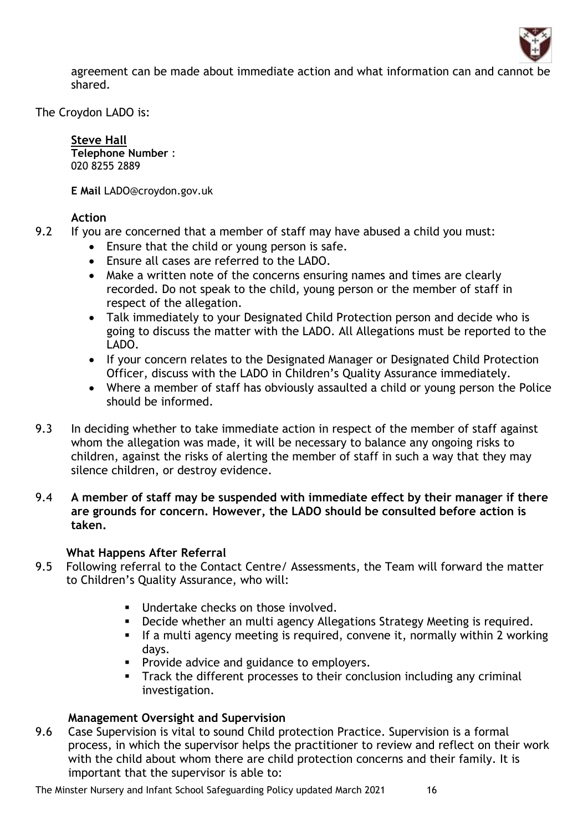

agreement can be made about immediate action and what information can and cannot be shared.

The Croydon LADO is:

**[Steve Hall](http://intranet.croydon.net/ASP-Apps/Telephone/ixResults.asp?ovr=8&T6=087034) Telephone Number** : 020 8255 2889

**E Mail** LADO@croydon.gov.uk

### **Action**

- 9.2 If you are concerned that a member of staff may have abused a child you must:
	- Ensure that the child or young person is safe.
	- Ensure all cases are referred to the LADO.
	- Make a written note of the concerns ensuring names and times are clearly recorded. Do not speak to the child, young person or the member of staff in respect of the allegation.
	- Talk immediately to your Designated Child Protection person and decide who is going to discuss the matter with the LADO. All Allegations must be reported to the LADO.
	- If your concern relates to the Designated Manager or Designated Child Protection Officer, discuss with the LADO in Children's Quality Assurance immediately.
	- Where a member of staff has obviously assaulted a child or young person the Police should be informed.
- 9.3 In deciding whether to take immediate action in respect of the member of staff against whom the allegation was made, it will be necessary to balance any ongoing risks to children, against the risks of alerting the member of staff in such a way that they may silence children, or destroy evidence.
- 9.4 **A member of staff may be suspended with immediate effect by their manager if there are grounds for concern. However, the LADO should be consulted before action is taken.**

#### **What Happens After Referral**

- 9.5 Following referral to the Contact Centre/ Assessments, the Team will forward the matter to Children's Quality Assurance, who will:
	- **■** Undertake checks on those involved.
	- Decide whether an multi agency Allegations Strategy Meeting is required.
	- **•** If a multi agency meeting is required, convene it, normally within 2 working days.
	- **•** Provide advice and guidance to employers.
	- **•** Track the different processes to their conclusion including any criminal investigation.

## **Management Oversight and Supervision**

9.6 Case Supervision is vital to sound Child protection Practice. Supervision is a formal process, in which the supervisor helps the practitioner to review and reflect on their work with the child about whom there are child protection concerns and their family. It is important that the supervisor is able to: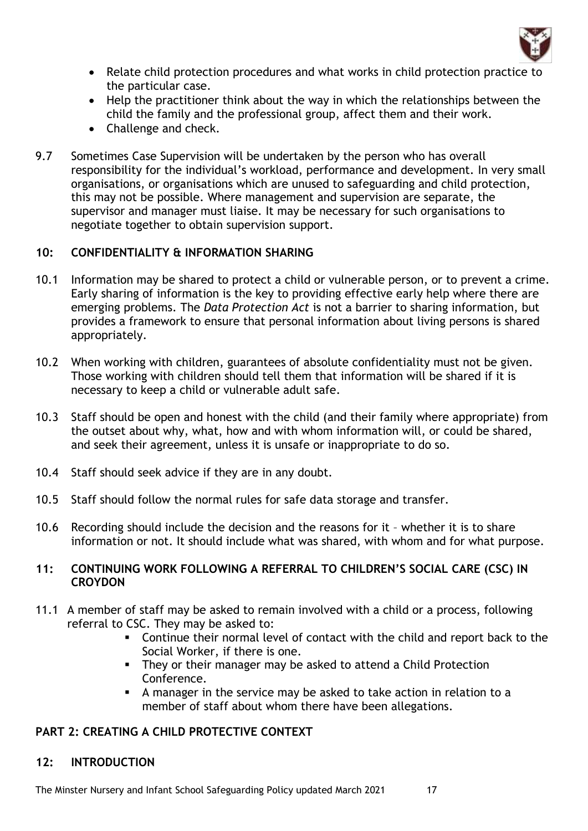

- Relate child protection procedures and what works in child protection practice to the particular case.
- Help the practitioner think about the way in which the relationships between the child the family and the professional group, affect them and their work.
- Challenge and check.
- 9.7 Sometimes Case Supervision will be undertaken by the person who has overall responsibility for the individual's workload, performance and development. In very small organisations, or organisations which are unused to safeguarding and child protection, this may not be possible. Where management and supervision are separate, the supervisor and manager must liaise. It may be necessary for such organisations to negotiate together to obtain supervision support.

## **10: CONFIDENTIALITY & INFORMATION SHARING**

- 10.1 Information may be shared to protect a child or vulnerable person, or to prevent a crime. Early sharing of information is the key to providing effective early help where there are emerging problems. The *Data Protection Act* is not a barrier to sharing information, but provides a framework to ensure that personal information about living persons is shared appropriately.
- 10.2 When working with children, guarantees of absolute confidentiality must not be given. Those working with children should tell them that information will be shared if it is necessary to keep a child or vulnerable adult safe.
- 10.3 Staff should be open and honest with the child (and their family where appropriate) from the outset about why, what, how and with whom information will, or could be shared, and seek their agreement, unless it is unsafe or inappropriate to do so.
- 10.4 Staff should seek advice if they are in any doubt.
- 10.5 Staff should follow the normal rules for safe data storage and transfer.
- 10.6 Recording should include the decision and the reasons for it whether it is to share information or not. It should include what was shared, with whom and for what purpose.

### **11: CONTINUING WORK FOLLOWING A REFERRAL TO CHILDREN'S SOCIAL CARE (CSC) IN CROYDON**

- 11.1 A member of staff may be asked to remain involved with a child or a process, following referral to CSC. They may be asked to:
	- Continue their normal level of contact with the child and report back to the Social Worker, if there is one.
	- **EXTERGHT THEY OF THEIR IN ARRY CORRENT INCOCOLLY THEY** They or their manager may be asked to attend a Child Protection Conference.
	- A manager in the service may be asked to take action in relation to a member of staff about whom there have been allegations.

## **PART 2: CREATING A CHILD PROTECTIVE CONTEXT**

## **12: INTRODUCTION**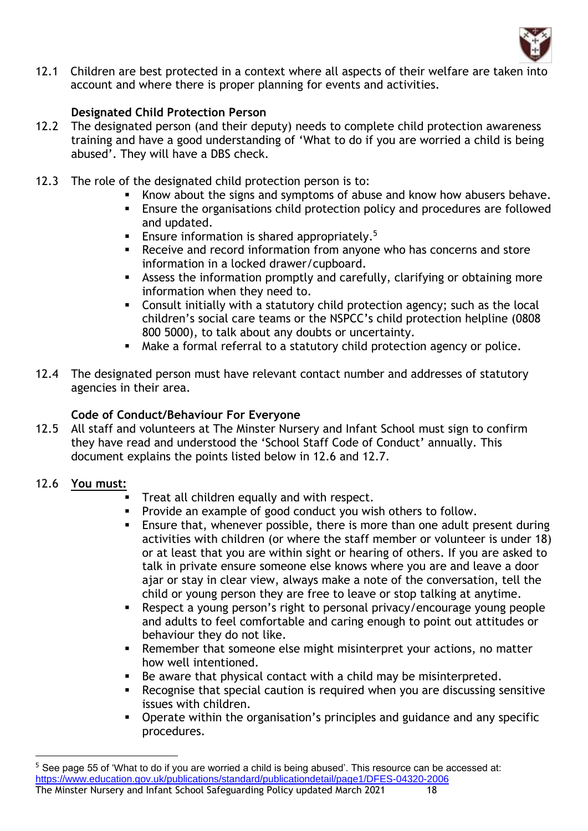

12.1 Children are best protected in a context where all aspects of their welfare are taken into account and where there is proper planning for events and activities.

## **Designated Child Protection Person**

- 12.2 The designated person (and their deputy) needs to complete child protection awareness training and have a good understanding of 'What to do if you are worried a child is being abused'. They will have a DBS check.
- 12.3 The role of the designated child protection person is to:
	- Know about the signs and symptoms of abuse and know how abusers behave.
	- **Ensure the organisations child protection policy and procedures are followed** and updated.
	- **Ensure information is shared appropriately.**<sup>5</sup>
	- Receive and record information from anyone who has concerns and store information in a locked drawer/cupboard.
	- Assess the information promptly and carefully, clarifying or obtaining more information when they need to.
	- Consult initially with a statutory child protection agency; such as the local children's social care teams or the NSPCC's child protection helpline (0808 800 5000), to talk about any doubts or uncertainty.
	- Make a formal referral to a statutory child protection agency or police.
- 12.4 The designated person must have relevant contact number and addresses of statutory agencies in their area.

## **Code of Conduct/Behaviour For Everyone**

- 12.5 All staff and volunteers at The Minster Nursery and Infant School must sign to confirm they have read and understood the 'School Staff Code of Conduct' annually. This document explains the points listed below in 12.6 and 12.7.
- 12.6 **You must:**
	- Treat all children equally and with respect.
	- Provide an example of good conduct you wish others to follow.
	- **Ensure that, whenever possible, there is more than one adult present during** activities with children (or where the staff member or volunteer is under 18) or at least that you are within sight or hearing of others. If you are asked to talk in private ensure someone else knows where you are and leave a door ajar or stay in clear view, always make a note of the conversation, tell the child or young person they are free to leave or stop talking at anytime.
	- Respect a young person's right to personal privacy/encourage young people and adults to feel comfortable and caring enough to point out attitudes or behaviour they do not like.
	- Remember that someone else might misinterpret your actions, no matter how well intentioned.
	- Be aware that physical contact with a child may be misinterpreted.
	- Recognise that special caution is required when you are discussing sensitive issues with children.
	- Operate within the organisation's principles and guidance and any specific procedures.

The Minster Nursery and Infant School Safeguarding Policy updated March 2021 18 <sup>5</sup> See page 55 of 'What to do if you are worried a child is being abused'. This resource can be accessed at: <https://www.education.gov.uk/publications/standard/publicationdetail/page1/DFES-04320-2006>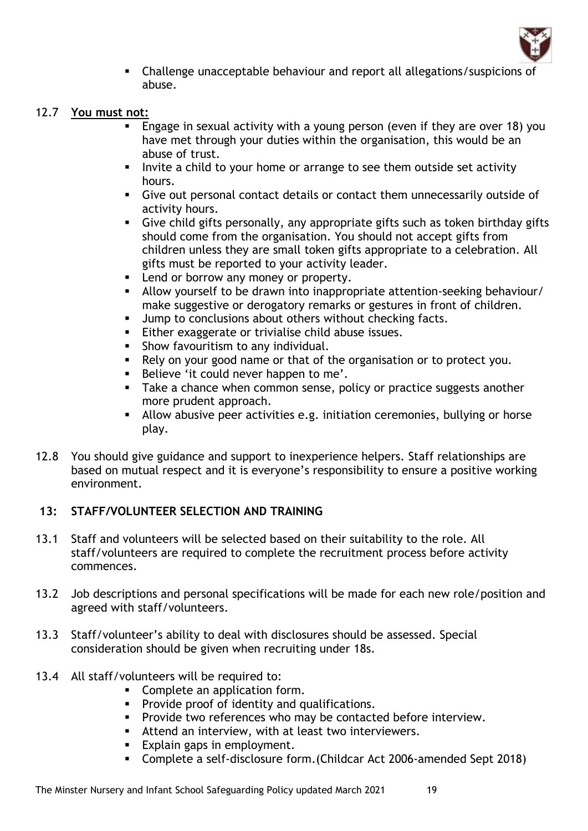

**EXECO LEGO EXECOTE CHALLE 1** Challenge unacceptable behaviour and report all allegations/suspicions of abuse.

#### 12.7 **You must not:**

- **Engage in sexual activity with a young person (even if they are over 18) you** have met through your duties within the organisation, this would be an abuse of trust.
- Invite a child to your home or arrange to see them outside set activity hours.
- **EXECT** Give out personal contact details or contact them unnecessarily outside of activity hours.
- Give child gifts personally, any appropriate gifts such as token birthday gifts should come from the organisation. You should not accept gifts from children unless they are small token gifts appropriate to a celebration. All gifts must be reported to your activity leader.
- Lend or borrow any money or property.
- Allow yourself to be drawn into inappropriate attention-seeking behaviour/ make suggestive or derogatory remarks or gestures in front of children.
- Jump to conclusions about others without checking facts.
- Either exaggerate or trivialise child abuse issues.
- Show favouritism to any individual.
- Rely on your good name or that of the organisation or to protect you.
- Believe 'it could never happen to me'.
- **EXE** Take a chance when common sense, policy or practice suggests another more prudent approach.
- **EXECT** Allow abusive peer activities e.g. initiation ceremonies, bullying or horse play.
- 12.8 You should give guidance and support to inexperience helpers. Staff relationships are based on mutual respect and it is everyone's responsibility to ensure a positive working environment.

## **13: STAFF/VOLUNTEER SELECTION AND TRAINING**

- 13.1 Staff and volunteers will be selected based on their suitability to the role. All staff/volunteers are required to complete the recruitment process before activity commences.
- 13.2 Job descriptions and personal specifications will be made for each new role/position and agreed with staff/volunteers.
- 13.3 Staff/volunteer's ability to deal with disclosures should be assessed. Special consideration should be given when recruiting under 18s.
- 13.4 All staff/volunteers will be required to:
	- Complete an application form.
	- **•** Provide proof of identity and qualifications.
	- **•** Provide two references who may be contacted before interview.
	- Attend an interview, with at least two interviewers.
	- Explain gaps in employment.
	- Complete a self-disclosure form.(Childcar Act 2006-amended Sept 2018)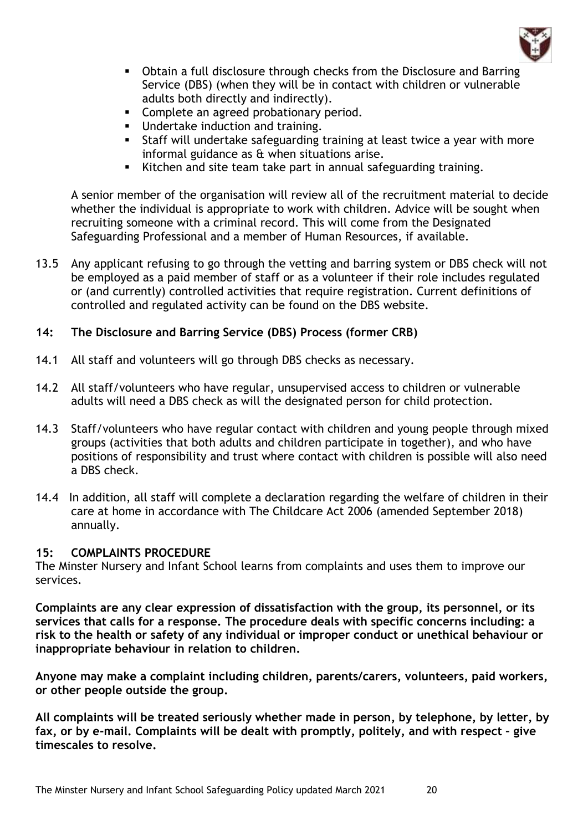

- Obtain a full disclosure through checks from the Disclosure and Barring Service (DBS) (when they will be in contact with children or vulnerable adults both directly and indirectly).
- Complete an agreed probationary period.
- **■** Undertake induction and training.
- **EXECT** Staff will undertake safeguarding training at least twice a year with more informal guidance as & when situations arise.
- Kitchen and site team take part in annual safeguarding training.

A senior member of the organisation will review all of the recruitment material to decide whether the individual is appropriate to work with children. Advice will be sought when recruiting someone with a criminal record. This will come from the Designated Safeguarding Professional and a member of Human Resources, if available.

13.5 Any applicant refusing to go through the vetting and barring system or DBS check will not be employed as a paid member of staff or as a volunteer if their role includes regulated or (and currently) controlled activities that require registration. Current definitions of controlled and regulated activity can be found on the DBS website.

## **14: The Disclosure and Barring Service (DBS) Process (former CRB)**

- 14.1 All staff and volunteers will go through DBS checks as necessary.
- 14.2 All staff/volunteers who have regular, unsupervised access to children or vulnerable adults will need a DBS check as will the designated person for child protection.
- 14.3 Staff/volunteers who have regular contact with children and young people through mixed groups (activities that both adults and children participate in together), and who have positions of responsibility and trust where contact with children is possible will also need a DBS check.
- 14.4 In addition, all staff will complete a declaration regarding the welfare of children in their care at home in accordance with The Childcare Act 2006 (amended September 2018) annually.

#### **15: COMPLAINTS PROCEDURE**

The Minster Nursery and Infant School learns from complaints and uses them to improve our services.

**Complaints are any clear expression of dissatisfaction with the group, its personnel, or its services that calls for a response. The procedure deals with specific concerns including: a risk to the health or safety of any individual or improper conduct or unethical behaviour or inappropriate behaviour in relation to children.**

**Anyone may make a complaint including children, parents/carers, volunteers, paid workers, or other people outside the group.**

**All complaints will be treated seriously whether made in person, by telephone, by letter, by fax, or by e-mail. Complaints will be dealt with promptly, politely, and with respect – give timescales to resolve.**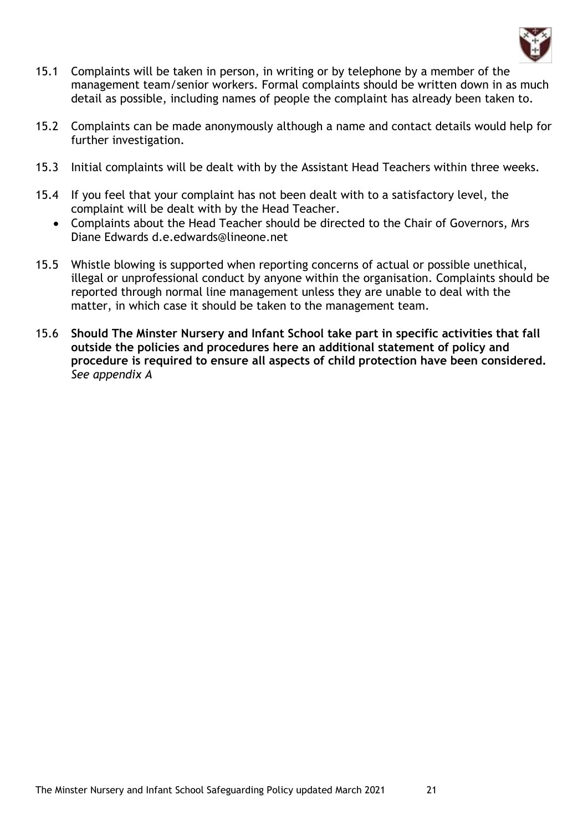

- 15.1 Complaints will be taken in person, in writing or by telephone by a member of the management team/senior workers. Formal complaints should be written down in as much detail as possible, including names of people the complaint has already been taken to.
- 15.2 Complaints can be made anonymously although a name and contact details would help for further investigation.
- 15.3 Initial complaints will be dealt with by the Assistant Head Teachers within three weeks.
- 15.4 If you feel that your complaint has not been dealt with to a satisfactory level, the complaint will be dealt with by the Head Teacher.
	- Complaints about the Head Teacher should be directed to the Chair of Governors, Mrs Diane Edwards d.e.edwards@lineone.net
- 15.5 Whistle blowing is supported when reporting concerns of actual or possible unethical, illegal or unprofessional conduct by anyone within the organisation. Complaints should be reported through normal line management unless they are unable to deal with the matter, in which case it should be taken to the management team.
- 15.6 **Should The Minster Nursery and Infant School take part in specific activities that fall outside the policies and procedures here an additional statement of policy and procedure is required to ensure all aspects of child protection have been considered.**  *See appendix A*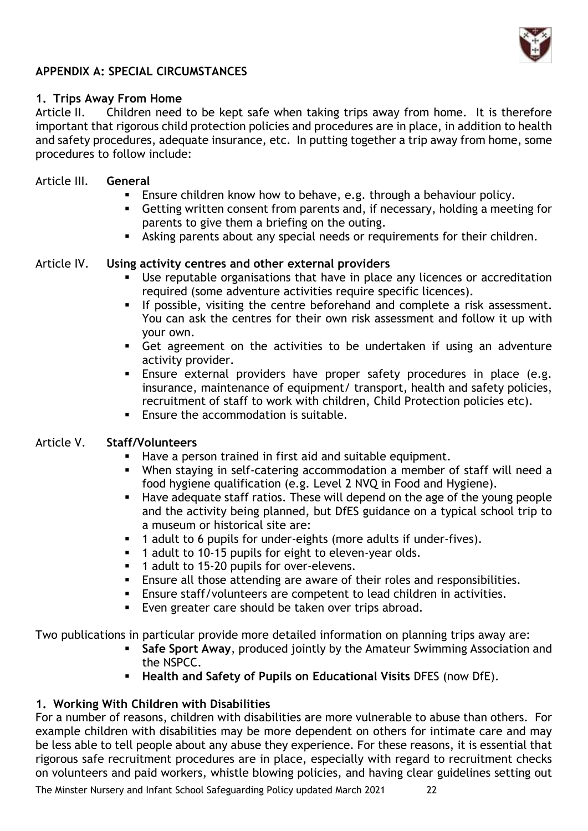

## **APPENDIX A: SPECIAL CIRCUMSTANCES**

#### **1. Trips Away From Home**

Article II. Children need to be kept safe when taking trips away from home. It is therefore important that rigorous child protection policies and procedures are in place, in addition to health and safety procedures, adequate insurance, etc. In putting together a trip away from home, some procedures to follow include:

#### Article III. **General**

- **Ensure children know how to behave, e.g. through a behaviour policy.**
- Getting written consent from parents and, if necessary, holding a meeting for parents to give them a briefing on the outing.
- **EXECT** Asking parents about any special needs or requirements for their children.

#### Article IV. **Using activity centres and other external providers**

- Use reputable organisations that have in place any licences or accreditation required (some adventure activities require specific licences).
- **■** If possible, visiting the centre beforehand and complete a risk assessment. You can ask the centres for their own risk assessment and follow it up with your own.
- Get agreement on the activities to be undertaken if using an adventure activity provider.
- **Ensure external providers have proper safety procedures in place (e.g.** insurance, maintenance of equipment/ transport, health and safety policies, recruitment of staff to work with children, Child Protection policies etc).
- Ensure the accommodation is suitable.

#### Article V. **Staff/Volunteers**

- Have a person trained in first aid and suitable equipment.
- When staying in self-catering accommodation a member of staff will need a food hygiene qualification (e.g. Level 2 NVQ in Food and Hygiene).
- Have adequate staff ratios. These will depend on the age of the young people and the activity being planned, but DfES guidance on a typical school trip to a museum or historical site are:
- 1 adult to 6 pupils for under-eights (more adults if under-fives).
- 1 adult to 10-15 pupils for eight to eleven-year olds.
- 1 adult to 15-20 pupils for over-elevens.
- **Ensure all those attending are aware of their roles and responsibilities.**
- Ensure staff/volunteers are competent to lead children in activities.
- Even greater care should be taken over trips abroad.

Two publications in particular provide more detailed information on planning trips away are:

- **Safe Sport Away**, produced jointly by the Amateur Swimming Association and the NSPCC.
- **Health and Safety of Pupils on Educational Visits** DFES (now DfE).

## **1. Working With Children with Disabilities**

For a number of reasons, children with disabilities are more vulnerable to abuse than others. For example children with disabilities may be more dependent on others for intimate care and may be less able to tell people about any abuse they experience. For these reasons, it is essential that rigorous safe recruitment procedures are in place, especially with regard to recruitment checks on volunteers and paid workers, whistle blowing policies, and having clear guidelines setting out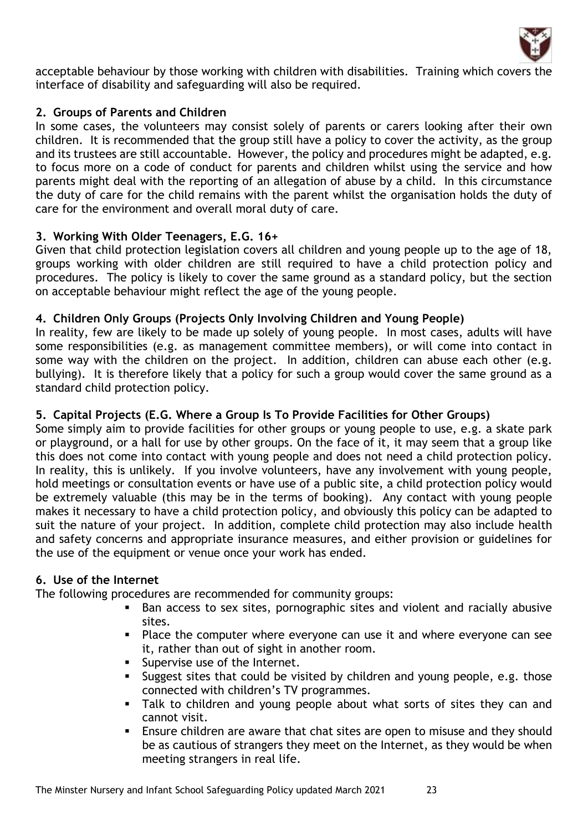

acceptable behaviour by those working with children with disabilities. Training which covers the interface of disability and safeguarding will also be required.

## **2. Groups of Parents and Children**

In some cases, the volunteers may consist solely of parents or carers looking after their own children. It is recommended that the group still have a policy to cover the activity, as the group and its trustees are still accountable. However, the policy and procedures might be adapted, e.g. to focus more on a code of conduct for parents and children whilst using the service and how parents might deal with the reporting of an allegation of abuse by a child. In this circumstance the duty of care for the child remains with the parent whilst the organisation holds the duty of care for the environment and overall moral duty of care.

### **3. Working With Older Teenagers, E.G. 16+**

Given that child protection legislation covers all children and young people up to the age of 18, groups working with older children are still required to have a child protection policy and procedures. The policy is likely to cover the same ground as a standard policy, but the section on acceptable behaviour might reflect the age of the young people.

### **4. Children Only Groups (Projects Only Involving Children and Young People)**

In reality, few are likely to be made up solely of young people. In most cases, adults will have some responsibilities (e.g. as management committee members), or will come into contact in some way with the children on the project. In addition, children can abuse each other (e.g. bullying). It is therefore likely that a policy for such a group would cover the same ground as a standard child protection policy.

#### **5. Capital Projects (E.G. Where a Group Is To Provide Facilities for Other Groups)**

Some simply aim to provide facilities for other groups or young people to use, e.g. a skate park or playground, or a hall for use by other groups. On the face of it, it may seem that a group like this does not come into contact with young people and does not need a child protection policy. In reality, this is unlikely. If you involve volunteers, have any involvement with young people, hold meetings or consultation events or have use of a public site, a child protection policy would be extremely valuable (this may be in the terms of booking). Any contact with young people makes it necessary to have a child protection policy, and obviously this policy can be adapted to suit the nature of your project. In addition, complete child protection may also include health and safety concerns and appropriate insurance measures, and either provision or guidelines for the use of the equipment or venue once your work has ended.

#### **6. Use of the Internet**

The following procedures are recommended for community groups:

- Ban access to sex sites, pornographic sites and violent and racially abusive sites.
- Place the computer where everyone can use it and where everyone can see it, rather than out of sight in another room.
- **EXEC** Supervise use of the Internet.
- **EXE** Suggest sites that could be visited by children and young people, e.g. those connected with children's TV programmes.
- **EXTE:** Talk to children and young people about what sorts of sites they can and cannot visit.
- Ensure children are aware that chat sites are open to misuse and they should be as cautious of strangers they meet on the Internet, as they would be when meeting strangers in real life.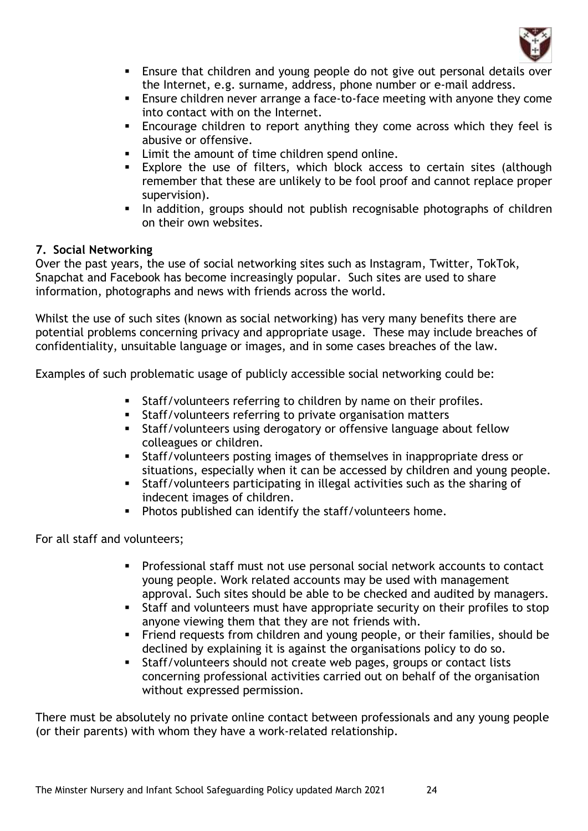

- **Ensure that children and young people do not give out personal details over** the Internet, e.g. surname, address, phone number or e-mail address.
- Ensure children never arrange a face-to-face meeting with anyone they come into contact with on the Internet.
- **Encourage children to report anything they come across which they feel is** abusive or offensive.
- Limit the amount of time children spend online.
- **Explore the use of filters, which block access to certain sites (although** remember that these are unlikely to be fool proof and cannot replace proper supervision).
- In addition, groups should not publish recognisable photographs of children on their own websites.

## **7. Social Networking**

Over the past years, the use of social networking sites such as Instagram, Twitter, TokTok, Snapchat and Facebook has become increasingly popular. Such sites are used to share information, photographs and news with friends across the world.

Whilst the use of such sites (known as social networking) has very many benefits there are potential problems concerning privacy and appropriate usage. These may include breaches of confidentiality, unsuitable language or images, and in some cases breaches of the law.

Examples of such problematic usage of publicly accessible social networking could be:

- Staff/volunteers referring to children by name on their profiles.
- Staff/volunteers referring to private organisation matters
- **EXTERF** Staff/volunteers using derogatory or offensive language about fellow colleagues or children.
- Staff/volunteers posting images of themselves in inappropriate dress or situations, especially when it can be accessed by children and young people.
- **EXECT:** Staff/volunteers participating in illegal activities such as the sharing of indecent images of children.
- Photos published can identify the staff/volunteers home.

For all staff and volunteers;

- **•** Professional staff must not use personal social network accounts to contact young people. Work related accounts may be used with management approval. Such sites should be able to be checked and audited by managers.
- Staff and volunteers must have appropriate security on their profiles to stop anyone viewing them that they are not friends with.
- Friend requests from children and young people, or their families, should be declined by explaining it is against the organisations policy to do so.
- Staff/volunteers should not create web pages, groups or contact lists concerning professional activities carried out on behalf of the organisation without expressed permission.

There must be absolutely no private online contact between professionals and any young people (or their parents) with whom they have a work-related relationship.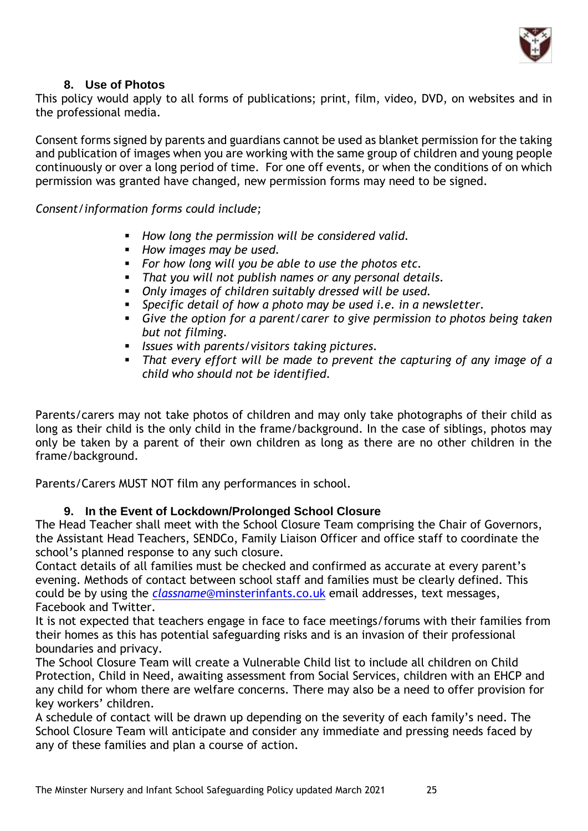

## **8. Use of Photos**

This policy would apply to all forms of publications; print, film, video, DVD, on websites and in the professional media.

Consent forms signed by parents and guardians cannot be used as blanket permission for the taking and publication of images when you are working with the same group of children and young people continuously or over a long period of time. For one off events, or when the conditions of on which permission was granted have changed, new permission forms may need to be signed.

*Consent/information forms could include;*

- *How long the permission will be considered valid.*
- *How images may be used.*
- *For how long will you be able to use the photos etc.*
- That you will not publish names or any personal details.
- *Only images of children suitably dressed will be used.*
- *Specific detail of how a photo may be used i.e. in a newsletter.*
- *Give the option for a parent/carer to give permission to photos being taken but not filming.*
- *Issues with parents/visitors taking pictures.*
- *That every effort will be made to prevent the capturing of any image of a child who should not be identified.*

Parents/carers may not take photos of children and may only take photographs of their child as long as their child is the only child in the frame/background. In the case of siblings, photos may only be taken by a parent of their own children as long as there are no other children in the frame/background.

Parents/Carers MUST NOT film any performances in school.

#### **9. In the Event of Lockdown/Prolonged School Closure**

The Head Teacher shall meet with the School Closure Team comprising the Chair of Governors, the Assistant Head Teachers, SENDCo, Family Liaison Officer and office staff to coordinate the school's planned response to any such closure.

Contact details of all families must be checked and confirmed as accurate at every parent's evening. Methods of contact between school staff and families must be clearly defined. This could be by using the *classname*[@minsterinfants.co.uk](mailto:classname@minsterinfants.co.uk) email addresses, text messages, Facebook and Twitter.

It is not expected that teachers engage in face to face meetings/forums with their families from their homes as this has potential safeguarding risks and is an invasion of their professional boundaries and privacy.

The School Closure Team will create a Vulnerable Child list to include all children on Child Protection, Child in Need, awaiting assessment from Social Services, children with an EHCP and any child for whom there are welfare concerns. There may also be a need to offer provision for key workers' children.

A schedule of contact will be drawn up depending on the severity of each family's need. The School Closure Team will anticipate and consider any immediate and pressing needs faced by any of these families and plan a course of action.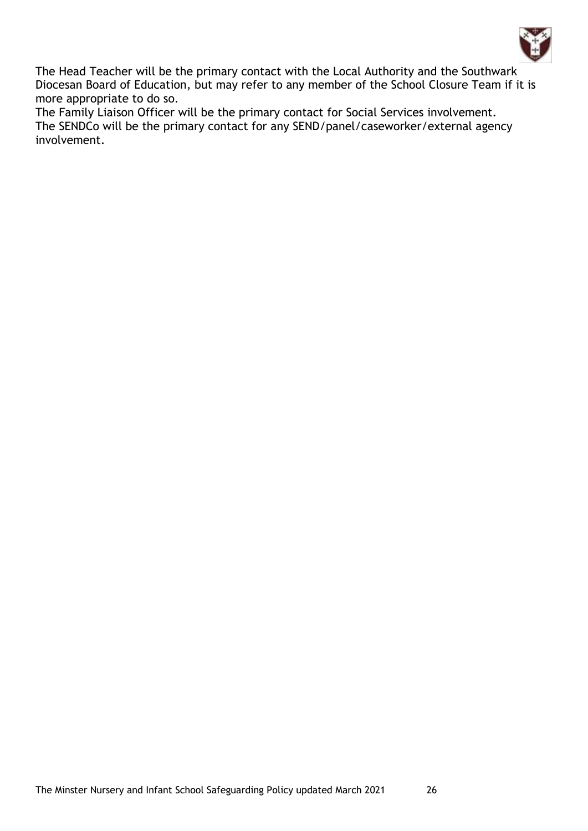

The Head Teacher will be the primary contact with the Local Authority and the Southwark Diocesan Board of Education, but may refer to any member of the School Closure Team if it is more appropriate to do so.

The Family Liaison Officer will be the primary contact for Social Services involvement. The SENDCo will be the primary contact for any SEND/panel/caseworker/external agency involvement.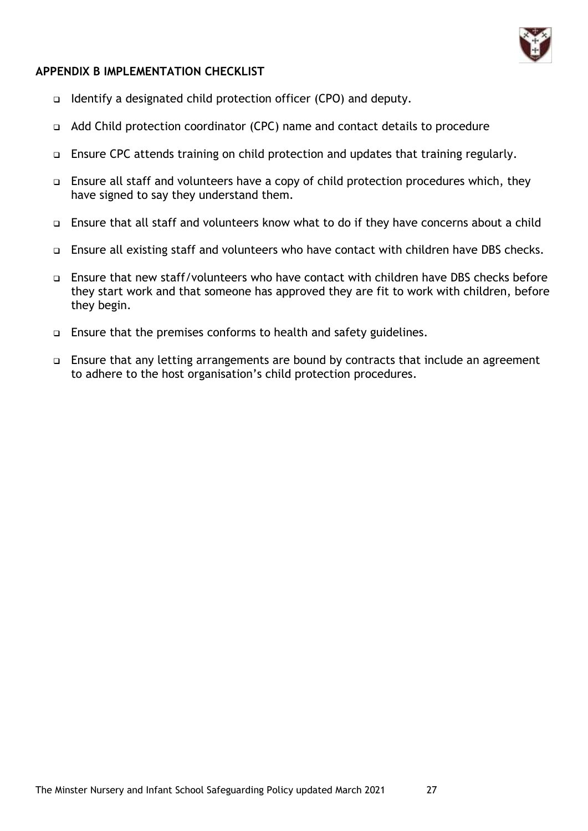

### **APPENDIX B IMPLEMENTATION CHECKLIST**

- ❑ Identify a designated child protection officer (CPO) and deputy.
- ❑ Add Child protection coordinator (CPC) name and contact details to procedure
- ❑ Ensure CPC attends training on child protection and updates that training regularly.
- ❑ Ensure all staff and volunteers have a copy of child protection procedures which, they have signed to say they understand them.
- ❑ Ensure that all staff and volunteers know what to do if they have concerns about a child
- ❑ Ensure all existing staff and volunteers who have contact with children have DBS checks.
- ❑ Ensure that new staff/volunteers who have contact with children have DBS checks before they start work and that someone has approved they are fit to work with children, before they begin.
- ❑ Ensure that the premises conforms to health and safety guidelines.
- ❑ Ensure that any letting arrangements are bound by contracts that include an agreement to adhere to the host organisation's child protection procedures.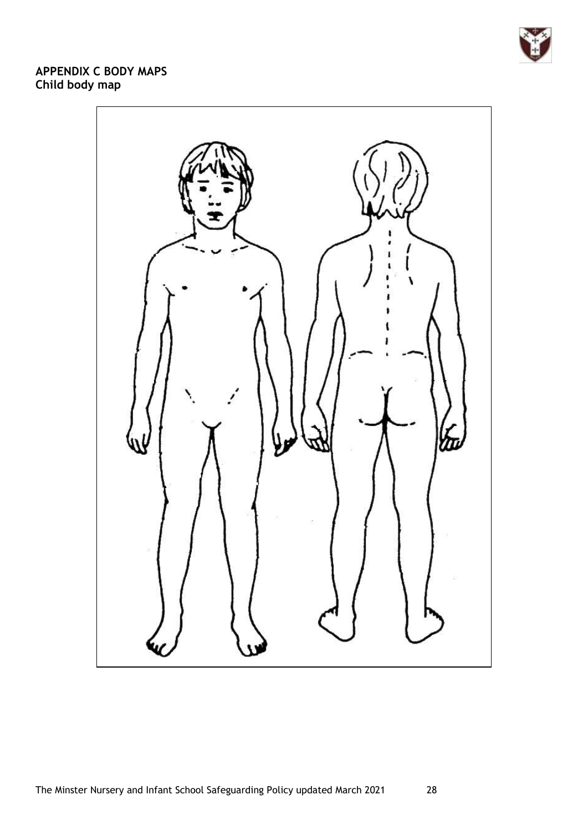

## **APPENDIX C BODY MAPS Child body map**

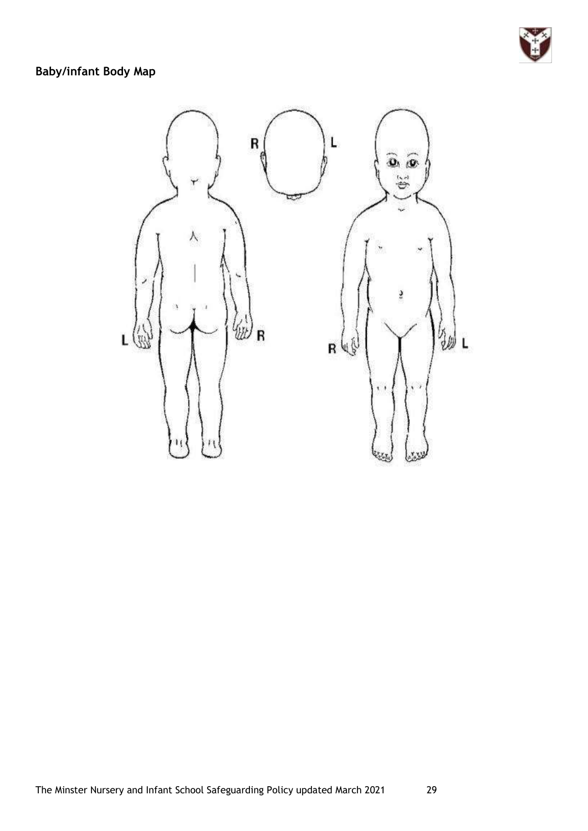

## **Baby/infant Body Map**

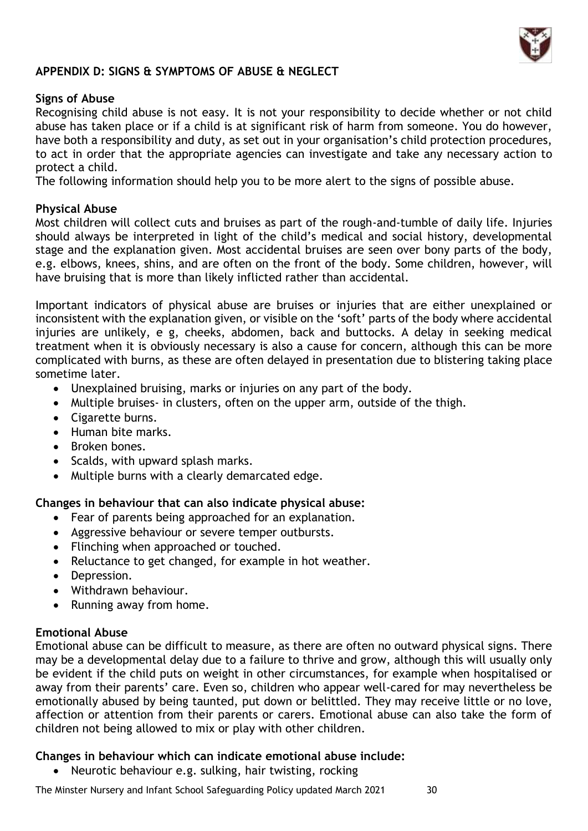

## **APPENDIX D: SIGNS & SYMPTOMS OF ABUSE & NEGLECT**

#### **Signs of Abuse**

Recognising child abuse is not easy. It is not your responsibility to decide whether or not child abuse has taken place or if a child is at significant risk of harm from someone. You do however, have both a responsibility and duty, as set out in your organisation's child protection procedures, to act in order that the appropriate agencies can investigate and take any necessary action to protect a child.

The following information should help you to be more alert to the signs of possible abuse.

#### **Physical Abuse**

Most children will collect cuts and bruises as part of the rough-and-tumble of daily life. Injuries should always be interpreted in light of the child's medical and social history, developmental stage and the explanation given. Most accidental bruises are seen over bony parts of the body, e.g. elbows, knees, shins, and are often on the front of the body. Some children, however, will have bruising that is more than likely inflicted rather than accidental.

Important indicators of physical abuse are bruises or injuries that are either unexplained or inconsistent with the explanation given, or visible on the 'soft' parts of the body where accidental injuries are unlikely, e g, cheeks, abdomen, back and buttocks. A delay in seeking medical treatment when it is obviously necessary is also a cause for concern, although this can be more complicated with burns, as these are often delayed in presentation due to blistering taking place sometime later.

- Unexplained bruising, marks or injuries on any part of the body.
- Multiple bruises- in clusters, often on the upper arm, outside of the thigh.
- Cigarette burns.
- Human bite marks.
- Broken bones.
- Scalds, with upward splash marks.
- Multiple burns with a clearly demarcated edge.

#### **Changes in behaviour that can also indicate physical abuse:**

- Fear of parents being approached for an explanation.
- Aggressive behaviour or severe temper outbursts.
- Flinching when approached or touched.
- Reluctance to get changed, for example in hot weather.
- Depression.
- Withdrawn behaviour.
- Running away from home.

#### **Emotional Abuse**

Emotional abuse can be difficult to measure, as there are often no outward physical signs. There may be a developmental delay due to a failure to thrive and grow, although this will usually only be evident if the child puts on weight in other circumstances, for example when hospitalised or away from their parents' care. Even so, children who appear well-cared for may nevertheless be emotionally abused by being taunted, put down or belittled. They may receive little or no love, affection or attention from their parents or carers. Emotional abuse can also take the form of children not being allowed to mix or play with other children.

#### **Changes in behaviour which can indicate emotional abuse include:**

• Neurotic behaviour e.g. sulking, hair twisting, rocking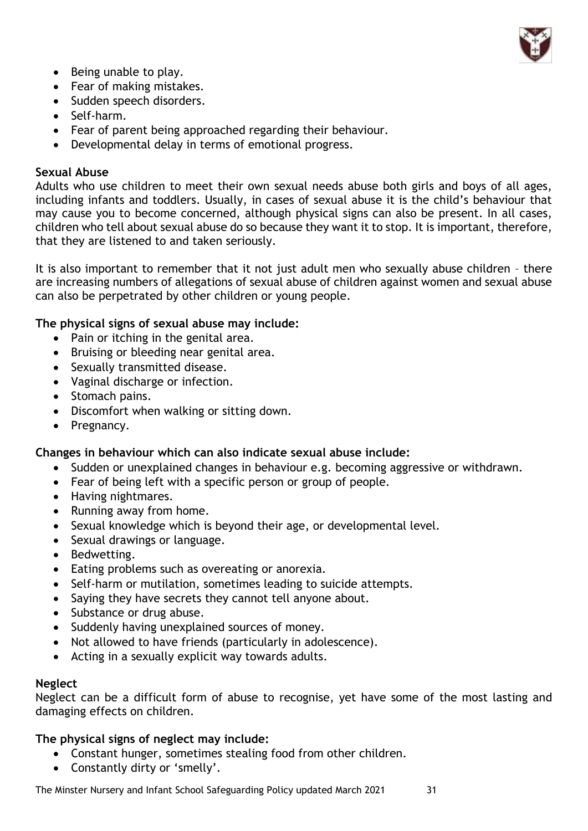

- Being unable to play.
- Fear of making mistakes.
- Sudden speech disorders.
- Self-harm.
- Fear of parent being approached regarding their behaviour.
- Developmental delay in terms of emotional progress.

## **Sexual Abuse**

Adults who use children to meet their own sexual needs abuse both girls and boys of all ages, including infants and toddlers. Usually, in cases of sexual abuse it is the child's behaviour that may cause you to become concerned, although physical signs can also be present. In all cases, children who tell about sexual abuse do so because they want it to stop. It is important, therefore, that they are listened to and taken seriously.

It is also important to remember that it not just adult men who sexually abuse children – there are increasing numbers of allegations of sexual abuse of children against women and sexual abuse can also be perpetrated by other children or young people.

### **The physical signs of sexual abuse may include:**

- Pain or itching in the genital area.
- Bruising or bleeding near genital area.
- Sexually transmitted disease.
- Vaginal discharge or infection.
- Stomach pains.
- Discomfort when walking or sitting down.
- Pregnancy.

## **Changes in behaviour which can also indicate sexual abuse include:**

- Sudden or unexplained changes in behaviour e.g. becoming aggressive or withdrawn.
- Fear of being left with a specific person or group of people.
- Having nightmares.
- Running away from home.
- Sexual knowledge which is beyond their age, or developmental level.
- Sexual drawings or language.
- Bedwetting.
- Eating problems such as overeating or anorexia.
- Self-harm or mutilation, sometimes leading to suicide attempts.
- Saying they have secrets they cannot tell anyone about.
- Substance or drug abuse.
- Suddenly having unexplained sources of money.
- Not allowed to have friends (particularly in adolescence).
- Acting in a sexually explicit way towards adults.

#### **Neglect**

Neglect can be a difficult form of abuse to recognise, yet have some of the most lasting and damaging effects on children.

## **The physical signs of neglect may include:**

- Constant hunger, sometimes stealing food from other children.
- Constantly dirty or 'smelly'.

The Minster Nursery and Infant School Safeguarding Policy updated March 2021 31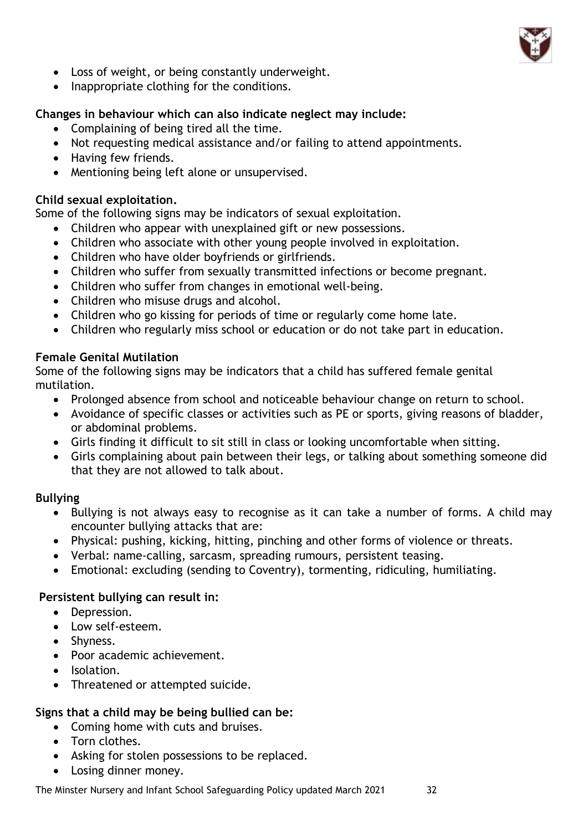

- Loss of weight, or being constantly underweight.
- Inappropriate clothing for the conditions.

## **Changes in behaviour which can also indicate neglect may include:**

- Complaining of being tired all the time.
- Not requesting medical assistance and/or failing to attend appointments.
- Having few friends.
- Mentioning being left alone or unsupervised.

## **Child sexual exploitation.**

Some of the following signs may be indicators of sexual exploitation.

- Children who appear with unexplained gift or new possessions.
- Children who associate with other young people involved in exploitation.
- Children who have older boyfriends or girlfriends.
- Children who suffer from sexually transmitted infections or become pregnant.
- Children who suffer from changes in emotional well-being.
- Children who misuse drugs and alcohol.
- Children who go kissing for periods of time or regularly come home late.
- Children who regularly miss school or education or do not take part in education.

### **Female Genital Mutilation**

Some of the following signs may be indicators that a child has suffered female genital mutilation.

- Prolonged absence from school and noticeable behaviour change on return to school.
- Avoidance of specific classes or activities such as PE or sports, giving reasons of bladder, or abdominal problems.
- Girls finding it difficult to sit still in class or looking uncomfortable when sitting.
- Girls complaining about pain between their legs, or talking about something someone did that they are not allowed to talk about.

## **Bullying**

- Bullying is not always easy to recognise as it can take a number of forms. A child may encounter bullying attacks that are:
- Physical: pushing, kicking, hitting, pinching and other forms of violence or threats.
- Verbal: name-calling, sarcasm, spreading rumours, persistent teasing.
- Emotional: excluding (sending to Coventry), tormenting, ridiculing, humiliating.

## **Persistent bullying can result in:**

- Depression.
- Low self-esteem.
- Shyness.
- Poor academic achievement.
- Isolation.
- Threatened or attempted suicide.

## **Signs that a child may be being bullied can be:**

- Coming home with cuts and bruises.
- Torn clothes.
- Asking for stolen possessions to be replaced.
- Losing dinner money.

The Minster Nursery and Infant School Safeguarding Policy updated March 2021 32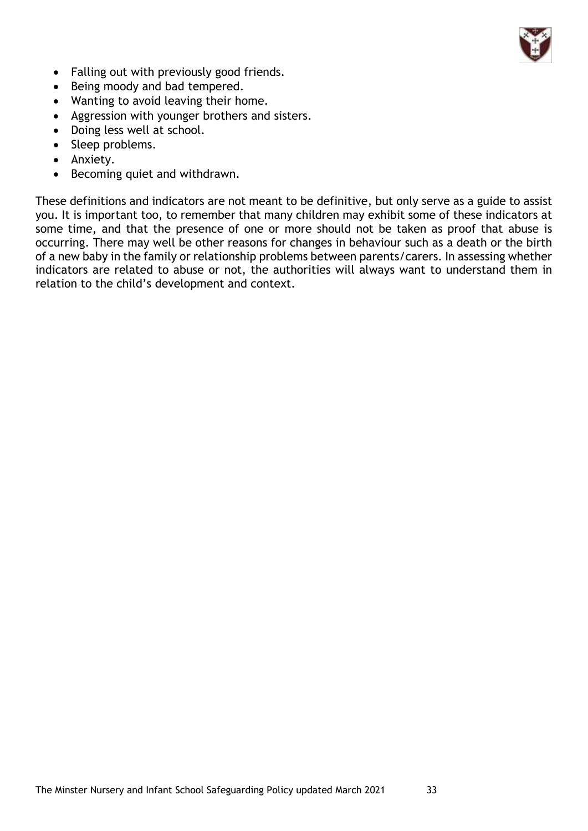

- Falling out with previously good friends.
- Being moody and bad tempered.
- Wanting to avoid leaving their home.
- Aggression with younger brothers and sisters.
- Doing less well at school.
- Sleep problems.
- Anxiety.
- Becoming quiet and withdrawn.

These definitions and indicators are not meant to be definitive, but only serve as a guide to assist you. It is important too, to remember that many children may exhibit some of these indicators at some time, and that the presence of one or more should not be taken as proof that abuse is occurring. There may well be other reasons for changes in behaviour such as a death or the birth of a new baby in the family or relationship problems between parents/carers. In assessing whether indicators are related to abuse or not, the authorities will always want to understand them in relation to the child's development and context.